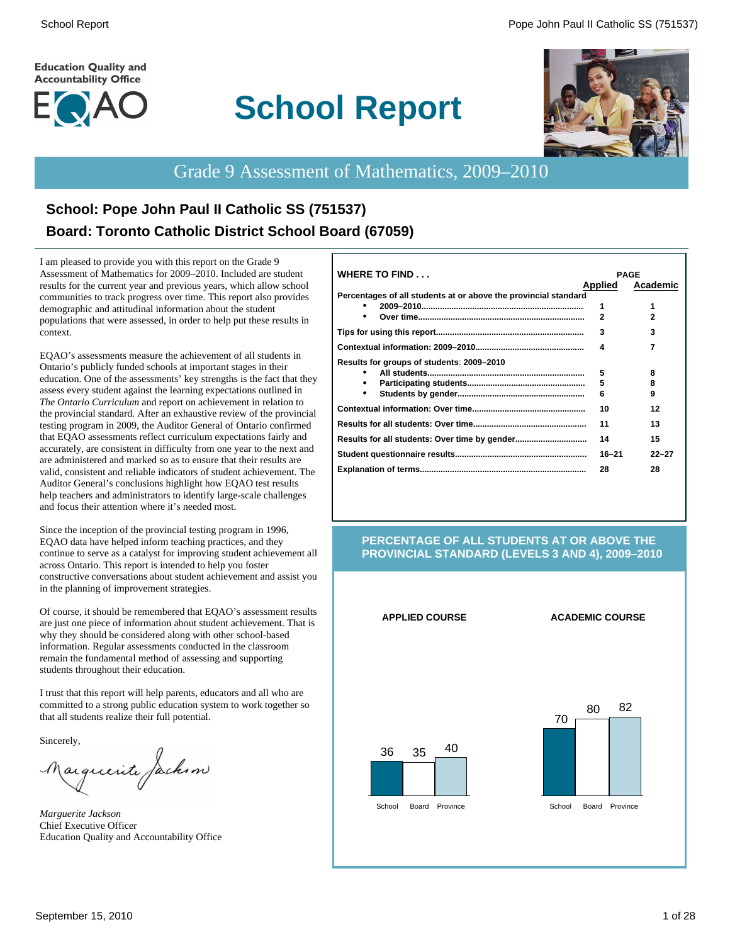#### **Education Quality and Accountability Office**



# **School Report**



# Grade 9 Assessment of Mathematics, 2009–2010

# **School: Pope John Paul II Catholic SS (751537) Board: Toronto Catholic District School Board (67059)**

I am pleased to provide you with this report on the Grade 9 Assessment of Mathematics for 2009–2010. Included are student results for the current year and previous years, which allow school communities to track progress over time. This report also provides demographic and attitudinal information about the student populations that were assessed, in order to help put these results in context.

EQAO's assessments measure the achievement of all students in Ontario's publicly funded schools at important stages in their education. One of the assessments' key strengths is the fact that they assess every student against the learning expectations outlined in *The Ontario Curriculum* and report on achievement in relation to the provincial standard. After an exhaustive review of the provincial testing program in 2009, the Auditor General of Ontario confirmed that EQAO assessments reflect curriculum expectations fairly and accurately, are consistent in difficulty from one year to the next and are administered and marked so as to ensure that their results are valid, consistent and reliable indicators of student achievement. The Auditor General's conclusions highlight how EQAO test results help teachers and administrators to identify large-scale challenges and focus their attention where it's needed most.

Since the inception of the provincial testing program in 1996, EQAO data have helped inform teaching practices, and they continue to serve as a catalyst for improving student achievement all across Ontario. This report is intended to help you foster constructive conversations about student achievement and assist you in the planning of improvement strategies.

Of course, it should be remembered that EQAO's assessment results are just one piece of information about student achievement. That is why they should be considered along with other school-based information. Regular assessments conducted in the classroom remain the fundamental method of assessing and supporting students throughout their education.

I trust that this report will help parents, educators and all who are committed to a strong public education system to work together so that all students realize their full potential.

Sincerely,

Marguerite Jackson

*Marguerite Jackson* Chief Executive Officer Education Quality and Accountability Office

| <b>WHERE TO FIND</b>                                            |                | <b>PAGE</b> |
|-----------------------------------------------------------------|----------------|-------------|
|                                                                 | <b>Applied</b> | Academic    |
| Percentages of all students at or above the provincial standard |                |             |
|                                                                 | 1              |             |
|                                                                 | $\mathbf{2}$   |             |
|                                                                 | 3              | 3           |
|                                                                 | 4              |             |
| Results for groups of students: 2009–2010                       |                |             |
|                                                                 | 5              | 8           |
| ٠                                                               | 5              | 8           |
| ٠                                                               | 6              | 9           |
|                                                                 | 10             | 12          |
|                                                                 | 11             | 13          |
|                                                                 | 14             | 15          |
|                                                                 | $16 - 21$      | $22 - 27$   |
|                                                                 | 28             | 28          |
|                                                                 |                |             |

#### **PERCENTAGE OF ALL STUDENTS AT OR ABOVE THE PROVINCIAL STANDARD (LEVELS 3 AND 4), 2009–2010**

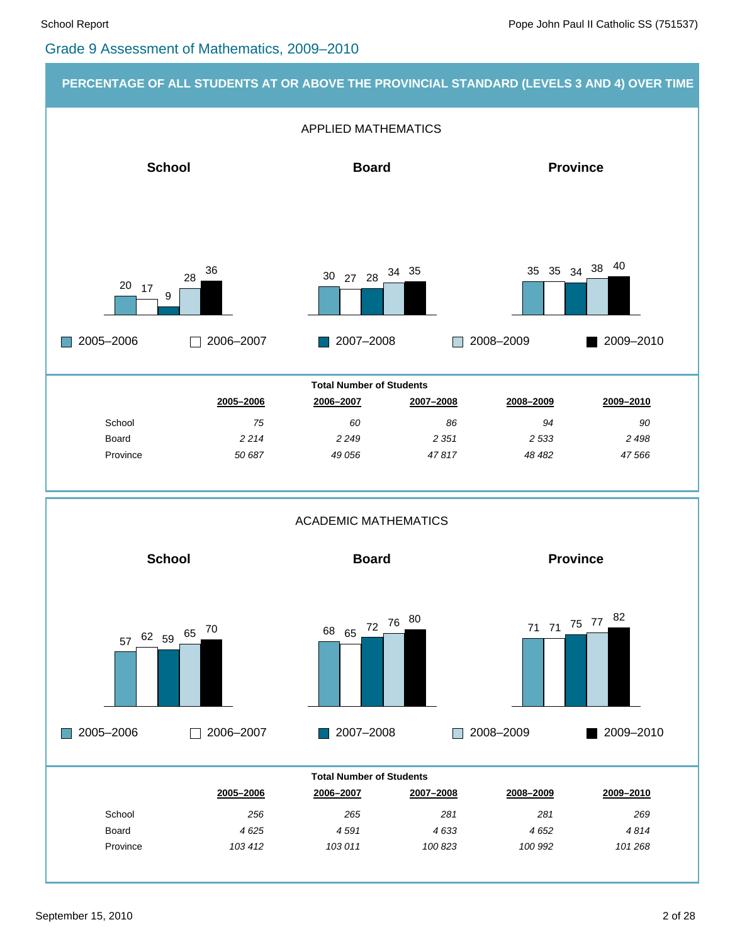#### Grade 9 Assessment of Mathematics, 2009–2010



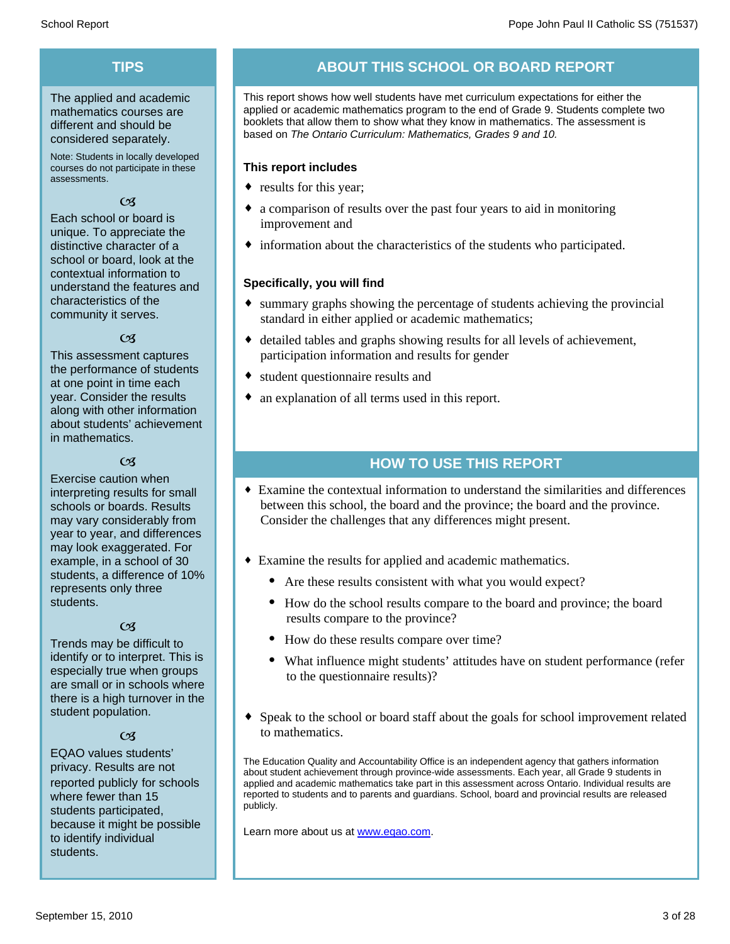# **TIPS**

The applied and academic mathematics courses are different and should be considered separately.

Note: Students in locally developed courses do not participate in these assessments.

#### $\mathfrak{C}$

Each school or board is unique. To appreciate the distinctive character of a school or board, look at the contextual information to understand the features and characteristics of the community it serves.

#### $\alpha$

This assessment captures the performance of students at one point in time each year. Consider the results along with other information about students' achievement in mathematics.

#### $\alpha$

Exercise caution when interpreting results for small schools or boards. Results may vary considerably from year to year, and differences may look exaggerated. For example, in a school of 30 students, a difference of 10% represents only three students.

#### $\mathfrak{C}$

Trends may be difficult to identify or to interpret. This is especially true when groups are small or in schools where there is a high turnover in the student population.

#### $C<sub>3</sub>$

EQAO values students' privacy. Results are not reported publicly for schools where fewer than 15 students participated, because it might be possible to identify individual students.

# **ABOUT THIS SCHOOL OR BOARD REPORT**

This report shows how well students have met curriculum expectations for either the applied or academic mathematics program to the end of Grade 9. Students complete two booklets that allow them to show what they know in mathematics. The assessment is based on *The Ontario Curriculum: Mathematics, Grades 9 and 10.*

#### **This report includes**

- results for this year;
- a comparison of results over the past four years to aid in monitoring improvement and
- $\bullet$  information about the characteristics of the students who participated.

#### **Specifically, you will find**

- $\bullet$  summary graphs showing the percentage of students achieving the provincial standard in either applied or academic mathematics;
- $\bullet$  detailed tables and graphs showing results for all levels of achievement, participation information and results for gender
- student questionnaire results and
- $\bullet$  an explanation of all terms used in this report.

## **HOW TO USE THIS REPORT**

- ¨ Examine the contextual information to understand the similarities and differences between this school, the board and the province; the board and the province. Consider the challenges that any differences might present.
- Examine the results for applied and academic mathematics.
	- Are these results consistent with what you would expect?
	- · How do the school results compare to the board and province; the board results compare to the province?
	- How do these results compare over time?
	- · What influence might students' attitudes have on student performance (refer to the questionnaire results)?
- Speak to the school or board staff about the goals for school improvement related to mathematics.

The Education Quality and Accountability Office is an independent agency that gathers information about student achievement through province-wide assessments. Each year, all Grade 9 students in applied and academic mathematics take part in this assessment across Ontario. Individual results are reported to students and to parents and guardians. School, board and provincial results are released publicly.

Learn more about us at www.eqao.com.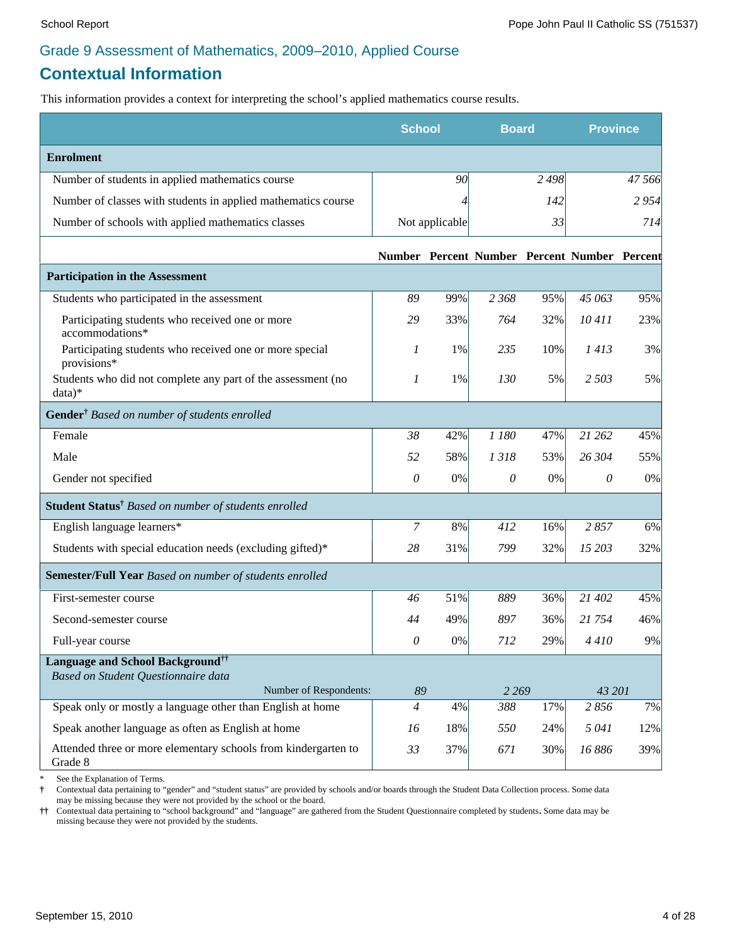# **Contextual Information**

This information provides a context for interpreting the school's applied mathematics course results.

|                                                                           | <b>School</b>  |                | <b>Board</b>                                 |         | <b>Province</b> |        |
|---------------------------------------------------------------------------|----------------|----------------|----------------------------------------------|---------|-----------------|--------|
| <b>Enrolment</b>                                                          |                |                |                                              |         |                 |        |
| Number of students in applied mathematics course                          |                | 90             |                                              | 2 4 9 8 |                 | 47 566 |
| Number of classes with students in applied mathematics course             |                | 4              |                                              | 142     |                 | 2954   |
| Number of schools with applied mathematics classes                        |                | Not applicable |                                              | 33      |                 | 714    |
|                                                                           |                |                | Number Percent Number Percent Number Percent |         |                 |        |
| <b>Participation in the Assessment</b>                                    |                |                |                                              |         |                 |        |
| Students who participated in the assessment                               | 89             | 99%            | 2 3 6 8                                      | 95%     | 45 063          | 95%    |
| Participating students who received one or more<br>accommodations*        | 29             | 33%            | 764                                          | 32%     | 10411           | 23%    |
| Participating students who received one or more special<br>provisions*    | 1              | 1%             | 235                                          | 10%     | 1413            | 3%     |
| Students who did not complete any part of the assessment (no<br>$data)*$  | $\mathcal{I}$  | 1%             | 130                                          | 5%      | 2 5 0 3         | 5%     |
| Gender <sup>†</sup> Based on number of students enrolled                  |                |                |                                              |         |                 |        |
| Female                                                                    | 38             | 42%            | 1 180                                        | 47%     | 21 262          | 45%    |
| Male                                                                      | 52             | 58%            | 1318                                         | 53%     | 26 304          | 55%    |
| Gender not specified                                                      | 0              | 0%             | $\theta$                                     | 0%      | 0               | $0\%$  |
| Student Status <sup>†</sup> Based on number of students enrolled          |                |                |                                              |         |                 |        |
| English language learners*                                                | 7              | 8%             | 412                                          | 16%     | 2857            | 6%     |
| Students with special education needs (excluding gifted)*                 | 28             | 31%            | 799                                          | 32%     | 15 203          | 32%    |
| Semester/Full Year Based on number of students enrolled                   |                |                |                                              |         |                 |        |
| First-semester course                                                     | 46             | 51%            | 889                                          | 36%     | 21 402          | 45%    |
| Second-semester course                                                    | 44             | 49%            | 897                                          | 36%     | 21 754          | 46%    |
| Full-year course                                                          | 0              | 0%             | 712                                          | 29%     | 4410            | 9%     |
| <b>Language and School Background</b> <sup>††</sup>                       |                |                |                                              |         |                 |        |
| Based on Student Questionnaire data<br>Number of Respondents:             | 89             |                | 2 2 6 9                                      |         | 43 201          |        |
| Speak only or mostly a language other than English at home                | $\overline{4}$ | 4%             | 388                                          | 17%     | 2856            | 7%     |
| Speak another language as often as English at home                        | 16             | 18%            | 550                                          | 24%     | 5 041           | 12%    |
| Attended three or more elementary schools from kindergarten to<br>Grade 8 | 33             | 37%            | 671                                          | 30%     | 16886           | 39%    |

See the Explanation of Terms.

**†** Contextual data pertaining to "gender" and "student status" are provided by schools and/or boards through the Student Data Collection process. Some data may be missing because they were not provided by the school or the board.

**††** Contextual data pertaining to "school background" and "language" are gathered from the Student Questionnaire completed by students**.** Some data may be missing because they were not provided by the students.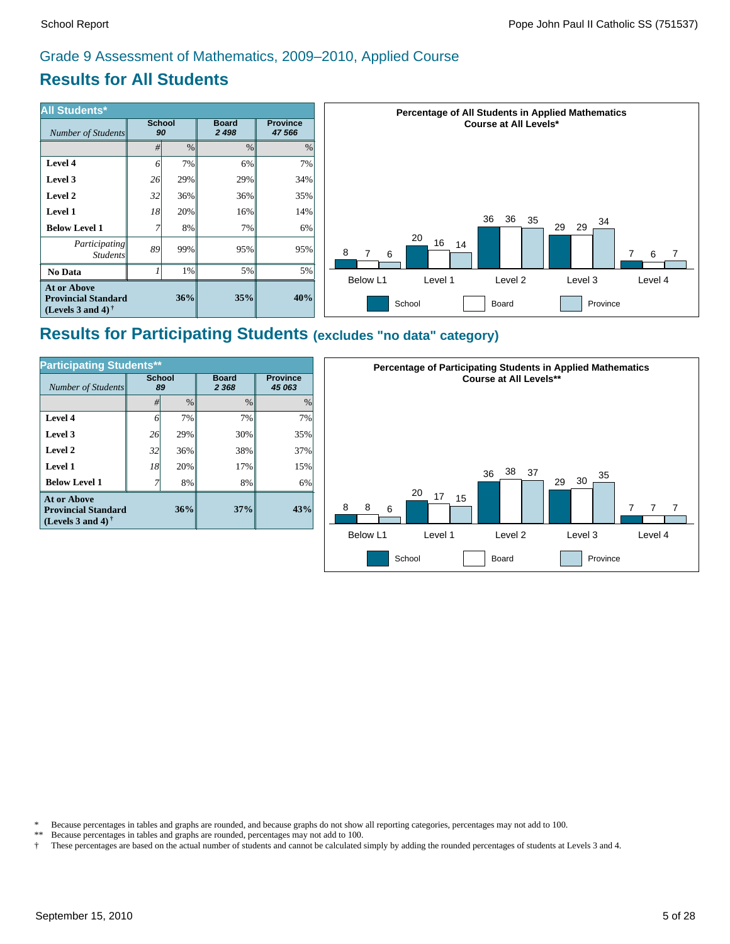# **Results for All Students**

| <b>All Students*</b>                                                           |                     |      | <b>Percentage of All Students in Applied Mathematics</b> |                           |                                                                         |
|--------------------------------------------------------------------------------|---------------------|------|----------------------------------------------------------|---------------------------|-------------------------------------------------------------------------|
| Number of Students                                                             | <b>School</b><br>90 |      | <b>Board</b><br>2 4 9 8                                  | <b>Province</b><br>47 566 | <b>Course at All Levels*</b>                                            |
|                                                                                | #l                  | $\%$ | $\%$                                                     | %                         |                                                                         |
| Level 4                                                                        | 61                  | 7%   | $6\%$                                                    | 7%                        |                                                                         |
| Level 3                                                                        | 26                  | 29%  | 29%                                                      | 34%                       |                                                                         |
| Level 2                                                                        | 32                  | 36%  | $36\%$                                                   | 35%                       |                                                                         |
| <b>Level 1</b>                                                                 | 18                  | 20%  | $16\%$                                                   | 14%                       | 36<br>36                                                                |
| <b>Below Level 1</b>                                                           |                     | 8%   | 7%                                                       | 6%                        | 35<br>34<br>29<br>29                                                    |
| Participating<br><i>Students</i>                                               | 89                  | 99%  | $95\%$                                                   | 95%                       | 20<br>16<br>14<br>8<br>$\overline{7}$<br>6<br>6                         |
| No Data                                                                        |                     | 1%   | $5\%$                                                    | 5%                        | Below L1                                                                |
| <b>At or Above</b><br><b>Provincial Standard</b><br>(Levels 3 and 4) $\dagger$ |                     | 36%  | 35%                                                      | 40%                       | Level 4<br>Level 2<br>Level 3<br>Level 1<br>School<br>Province<br>Board |

# **Results for Participating Students (excludes "no data" category)**

| <b>Participating Students**</b>                                                |                     |               |                         |                           |  |  |  |  |
|--------------------------------------------------------------------------------|---------------------|---------------|-------------------------|---------------------------|--|--|--|--|
| Number of Students                                                             | <b>School</b><br>89 |               | <b>Board</b><br>2 3 6 8 | <b>Province</b><br>45 063 |  |  |  |  |
|                                                                                | #                   | $\frac{0}{0}$ | $\frac{0}{0}$           | $\%$                      |  |  |  |  |
| Level 4                                                                        | 6                   | 7%            | 7%                      | 7%                        |  |  |  |  |
| Level 3                                                                        | 26                  | 29%           | 30%                     | 35%                       |  |  |  |  |
| Level 2                                                                        | 32                  | 36%           | 38%                     | 37%                       |  |  |  |  |
| Level 1                                                                        | 18                  | 20%           | 17%                     | 15%                       |  |  |  |  |
| <b>Below Level 1</b>                                                           |                     | 8%            | 8%                      | 6%                        |  |  |  |  |
| <b>At or Above</b><br><b>Provincial Standard</b><br>(Levels 3 and 4) $\dagger$ |                     | 36%           | 37%                     | 43%                       |  |  |  |  |



\* Because percentages in tables and graphs are rounded, and because graphs do not show all reporting categories, percentages may not add to 100.<br>\*\* Because percentages in tables and graphs are rounded, percentages may not

- Because percentages in tables and graphs are rounded, percentages may not add to 100.
- † These percentages are based on the actual number of students and cannot be calculated simply by adding the rounded percentages of students at Levels 3 and 4.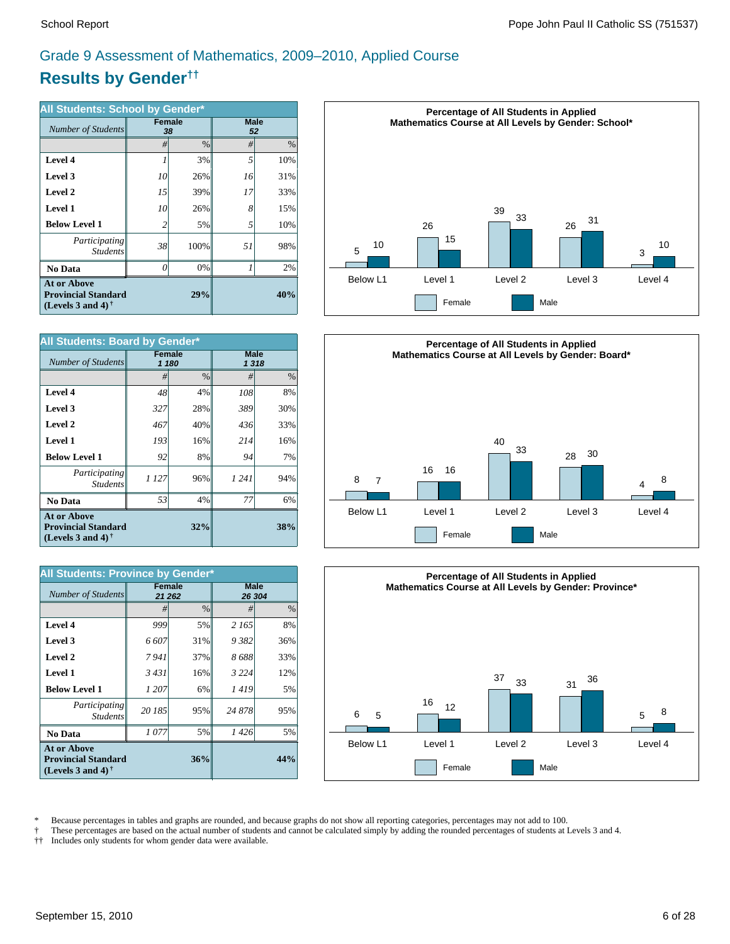# **Results by Gender††** Grade 9 Assessment of Mathematics, 2009–2010, Applied Course

| All Students: School by Gender*                                                                      |          |                     |                   |      |  |  |  |
|------------------------------------------------------------------------------------------------------|----------|---------------------|-------------------|------|--|--|--|
| Number of Students                                                                                   |          | <b>Female</b><br>38 | <b>Male</b><br>52 |      |  |  |  |
|                                                                                                      | #        | $\frac{0}{0}$       | #                 | $\%$ |  |  |  |
| Level 4                                                                                              |          | 3%                  | 5                 | 10%  |  |  |  |
| Level 3                                                                                              | 10       | 26%                 | 16                | 31%  |  |  |  |
| Level 2                                                                                              | 15       | 39%                 | 17                | 33%  |  |  |  |
| Level 1                                                                                              | 10       | 26%                 | 8                 | 15%  |  |  |  |
| <b>Below Level 1</b>                                                                                 | 2        | 5%                  | 5                 | 10%  |  |  |  |
| <i>Participating</i><br><b>Students</b>                                                              | 38       | 100%                | 51                | 98%  |  |  |  |
| <b>No Data</b>                                                                                       | $\theta$ | 0%                  |                   | 2%   |  |  |  |
| <b>At or Above</b><br><b>Provincial Standard</b><br>(Levels 3 and 4) <sup><math>\dagger</math></sup> |          | 40%                 |                   |      |  |  |  |

| All Students: Board by Gender*                                                                       |        |       |                     |     |  |  |  |
|------------------------------------------------------------------------------------------------------|--------|-------|---------------------|-----|--|--|--|
| Number of Students                                                                                   | Female | 1 180 | <b>Male</b><br>1318 |     |  |  |  |
|                                                                                                      | #      | $\%$  | #                   | %   |  |  |  |
| Level 4                                                                                              | 48     | 4%    | 108                 | 8%  |  |  |  |
| Level 3                                                                                              | 327    | 28%   | 389                 | 30% |  |  |  |
| Level 2                                                                                              | 467    | 40%   | 436                 | 33% |  |  |  |
| Level 1                                                                                              | 193    | 16%   | 214                 | 16% |  |  |  |
| <b>Below Level 1</b>                                                                                 | 92     | 8%    | 94                  | 7%  |  |  |  |
| Participating<br><b>Students</b>                                                                     | 1 127  | 96%   | 1 24 1              | 94% |  |  |  |
| <b>No Data</b>                                                                                       | 53     | 4%    | 77                  | 6%  |  |  |  |
| <b>At or Above</b><br><b>Provincial Standard</b><br>(Levels 3 and 4) <sup><math>\dagger</math></sup> |        | 32%   |                     | 38% |  |  |  |

| All Students: Province by Gender*                                                 |                         |               |                       |               |  |  |  |
|-----------------------------------------------------------------------------------|-------------------------|---------------|-----------------------|---------------|--|--|--|
| Number of Students                                                                | <b>Female</b><br>21 262 |               | <b>Male</b><br>26 304 |               |  |  |  |
|                                                                                   | #                       | $\frac{0}{0}$ | #                     | $\frac{0}{0}$ |  |  |  |
| Level 4                                                                           | 999                     | 5%            | 2 165                 | 8%            |  |  |  |
| Level 3                                                                           | 6 607                   | 31%           | 9382                  | 36%           |  |  |  |
| Level 2                                                                           | 7941                    | 37%           | 8688                  | 33%           |  |  |  |
| Level 1                                                                           | 3431                    | 16%           | 3 2 2 4               | 12%           |  |  |  |
| <b>Below Level 1</b>                                                              | 1 207                   | 6%            | 1419                  | 5%            |  |  |  |
| Participating<br><b>Students</b>                                                  | 20 185                  | 95%           | 24 878                | 95%           |  |  |  |
| <b>No Data</b>                                                                    | 1 077                   | 5%            | 1 426                 | 5%            |  |  |  |
| <b>At or Above</b><br><b>Provincial Standard</b><br>(Levels 3 and 4) $^{\dagger}$ |                         | 36%           |                       | 44%           |  |  |  |







\* Because percentages in tables and graphs are rounded, and because graphs do not show all reporting categories, percentages may not add to 100.<br>These percentages are based on the actual number of students and cannot be ca

† These percentages are based on the actual number of students and cannot be calculated simply by adding the rounded percentages of students at Levels 3 and 4.

Includes only students for whom gender data were available.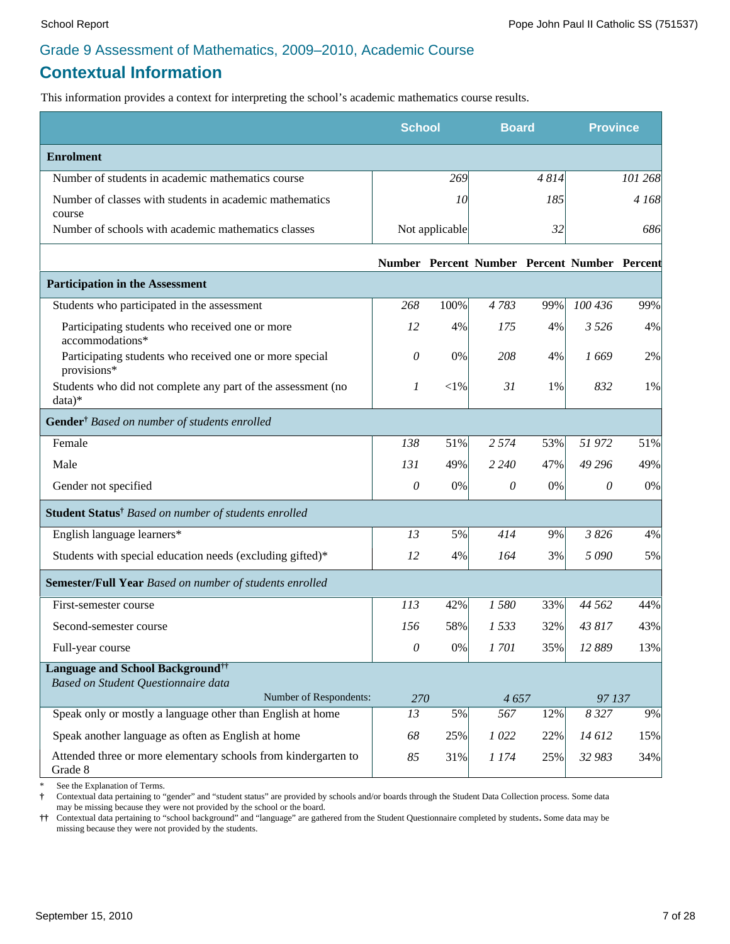# **Contextual Information**

This information provides a context for interpreting the school's academic mathematics course results.

|                                                                                            | <b>School</b> |                | <b>Board</b> |      | <b>Province</b>                              |         |
|--------------------------------------------------------------------------------------------|---------------|----------------|--------------|------|----------------------------------------------|---------|
| <b>Enrolment</b>                                                                           |               |                |              |      |                                              |         |
| Number of students in academic mathematics course                                          |               | 269            |              | 4814 |                                              | 101 268 |
| Number of classes with students in academic mathematics<br>course                          |               | 10             |              | 185  |                                              | 4 168   |
| Number of schools with academic mathematics classes                                        |               | Not applicable |              | 32   |                                              | 686     |
|                                                                                            |               |                |              |      | Number Percent Number Percent Number Percent |         |
| <b>Participation in the Assessment</b>                                                     |               |                |              |      |                                              |         |
| Students who participated in the assessment                                                | 268           | 100%           | 4783         | 99%  | 100 436                                      | 99%     |
| Participating students who received one or more<br>accommodations*                         | 12            | 4%             | 175          | 4%   | 3 5 2 6                                      | 4%      |
| Participating students who received one or more special<br>provisions*                     | 0             | 0%             | 208          | 4%   | 1669                                         | 2%      |
| Students who did not complete any part of the assessment (no<br>$data)*$                   | 1             | ${<}1\%$       | 31           | 1%   | 832                                          | 1%      |
| Gender <sup>†</sup> Based on number of students enrolled                                   |               |                |              |      |                                              |         |
| Female                                                                                     | 138           | 51%            | 2 5 7 4      | 53%  | 51 972                                       | 51%     |
| Male                                                                                       | 131           | 49%            | 2 2 4 0      | 47%  | 49 29 6                                      | 49%     |
| Gender not specified                                                                       | $\mathcal O$  | 0%             | 0            | 0%   | 0                                            | 0%      |
| Student Status <sup>†</sup> Based on number of students enrolled                           |               |                |              |      |                                              |         |
| English language learners*                                                                 | 13            | 5%             | 414          | 9%   | 3 8 2 6                                      | 4%      |
| Students with special education needs (excluding gifted)*                                  | 12            | 4%             | 164          | 3%   | 5090                                         | 5%      |
| Semester/Full Year Based on number of students enrolled                                    |               |                |              |      |                                              |         |
| First-semester course                                                                      | 113           | 42%            | 1580         | 33%  | 44 5 62                                      | 44%     |
| Second-semester course                                                                     | 156           | 58%            | 1533         | 32%  | 43 817                                       | 43%     |
| Full-year course                                                                           | $\theta$      | 0%             | 1701         | 35%  | 12 889                                       | 13%     |
| <b>Language and School Background</b> <sup>††</sup><br>Based on Student Questionnaire data |               |                |              |      |                                              |         |
| Number of Respondents:                                                                     | 270           |                | 4657         |      | 97 137                                       |         |
| Speak only or mostly a language other than English at home                                 | 13            | 5%             | 567          | 12%  | 8 3 2 7                                      | 9%      |
| Speak another language as often as English at home                                         | 68            | 25%            | 1022         | 22%  | 14612                                        | 15%     |
| Attended three or more elementary schools from kindergarten to<br>Grade 8                  | 85            | 31%            | 1 174        | 25%  | 32 983                                       | 34%     |

See the Explanation of Terms.

**†** Contextual data pertaining to "gender" and "student status" are provided by schools and/or boards through the Student Data Collection process. Some data may be missing because they were not provided by the school or the board.

**††** Contextual data pertaining to "school background" and "language" are gathered from the Student Questionnaire completed by students**.** Some data may be missing because they were not provided by the students.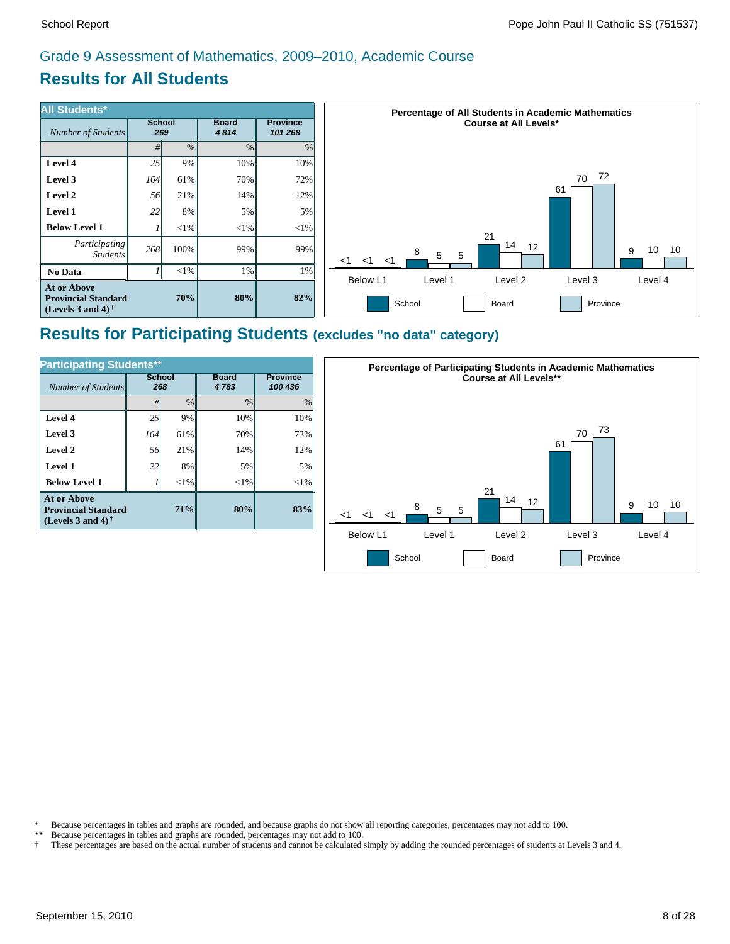# **Results for All Students**

| <b>All Students*</b>                                                           |     |                      |                      |                            | <b>Percentage of All Students in Academic Mathematics</b>              |  |  |
|--------------------------------------------------------------------------------|-----|----------------------|----------------------|----------------------------|------------------------------------------------------------------------|--|--|
| Number of Students                                                             |     | <b>School</b><br>269 | <b>Board</b><br>4814 | <b>Province</b><br>101 268 | <b>Course at All Levels*</b>                                           |  |  |
|                                                                                | #   | $\%$                 | $\frac{0}{0}$        | $\%$                       |                                                                        |  |  |
| Level 4                                                                        | 25  | 9%                   | 10%                  | 10%                        |                                                                        |  |  |
| Level 3                                                                        | 164 | 61%                  | 70%                  | 72%                        | 72<br>70                                                               |  |  |
| Level 2                                                                        | 56  | 21%                  | 14%                  | 12%                        | 61                                                                     |  |  |
| Level 1                                                                        | 22  | 8%                   | 5%                   | 5%                         |                                                                        |  |  |
| <b>Below Level 1</b>                                                           |     | $< 1\%$              | $<$ 1%               | $<$ 1%                     |                                                                        |  |  |
| Participating<br><i>Students</i>                                               | 268 | $100\%$              | 99%                  | 99%                        | 21<br>14<br>12<br>10<br>10<br>9<br>8<br>5<br>5<br>$<$ 1<br>$<$ 1<br><1 |  |  |
| No Data                                                                        |     | $< 1\%$              | 1%                   | 1%                         | Level 4<br>Below L1<br>Level 1<br>Level <sub>2</sub><br>Level 3        |  |  |
| <b>At or Above</b><br><b>Provincial Standard</b><br>(Levels 3 and 4) $\dagger$ |     | 70%                  | 80%                  | 82%                        | School<br>Board<br>Province                                            |  |  |

# **Results for Participating Students (excludes "no data" category)**

| <b>Participating Students**</b>                                                |                      |               |                      |                            |  |  |  |  |
|--------------------------------------------------------------------------------|----------------------|---------------|----------------------|----------------------------|--|--|--|--|
| Number of Students                                                             | <b>School</b><br>268 |               | <b>Board</b><br>4783 | <b>Province</b><br>100 436 |  |  |  |  |
|                                                                                | #                    | $\frac{0}{0}$ | $\frac{0}{0}$        | $\frac{0}{0}$              |  |  |  |  |
| Level 4                                                                        | 25                   | 9%            | 10%                  | 10%                        |  |  |  |  |
| Level 3                                                                        | 164                  | 61%           | 70%                  | 73%                        |  |  |  |  |
| Level 2                                                                        | 56                   | 21%           | 14%                  | 12%                        |  |  |  |  |
| Level 1                                                                        | 22                   | 8%            | 5%                   | 5%                         |  |  |  |  |
| <b>Below Level 1</b>                                                           |                      | ${<}1\%$      | $<$ 1%               | $<$ 1%                     |  |  |  |  |
| <b>At or Above</b><br><b>Provincial Standard</b><br>(Levels 3 and 4) $\dagger$ |                      | 71%           | 80%                  | 83%                        |  |  |  |  |



\* Because percentages in tables and graphs are rounded, and because graphs do not show all reporting categories, percentages may not add to 100.<br>\*\* Because percentages in tables and graphs are rounded, percentages may not

Because percentages in tables and graphs are rounded, percentages may not add to 100.

† These percentages are based on the actual number of students and cannot be calculated simply by adding the rounded percentages of students at Levels 3 and 4.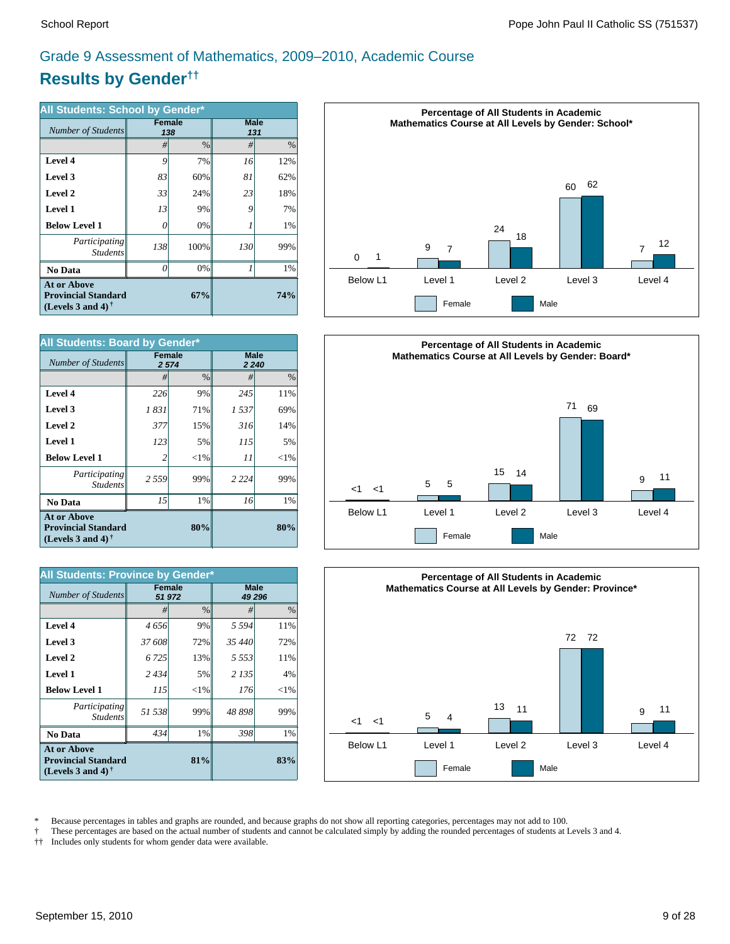# **Results by Gender††** Grade 9 Assessment of Mathematics, 2009–2010, Academic Course

| All Students: School by Gender*                                                |               |      |                    |      |  |  |  |
|--------------------------------------------------------------------------------|---------------|------|--------------------|------|--|--|--|
| Number of Students                                                             | <b>Female</b> | 138  | <b>Male</b><br>131 |      |  |  |  |
|                                                                                | #             | $\%$ | #                  | $\%$ |  |  |  |
| Level 4                                                                        | 9             | 7%   | 16                 | 12%  |  |  |  |
| Level 3                                                                        | 83            | 60%  | 81                 | 62%  |  |  |  |
| Level 2                                                                        | 33            | 24%  | 23                 | 18%  |  |  |  |
| Level 1                                                                        | 13            | 9%   | 9                  | 7%   |  |  |  |
| <b>Below Level 1</b>                                                           | 0             | 0%   |                    | 1%   |  |  |  |
| <i>Participating</i><br><b>Students</b>                                        | 138           | 100% | 130                | 99%  |  |  |  |
| No Data                                                                        | 0             | 0%   | 1                  | 1%   |  |  |  |
| <b>At or Above</b><br><b>Provincial Standard</b><br>(Levels 3 and 4) $\dagger$ |               | 74%  |                    |      |  |  |  |

| <b>All Students: Board by Gender*</b>                                                                |                   |               |                        |          |  |  |  |
|------------------------------------------------------------------------------------------------------|-------------------|---------------|------------------------|----------|--|--|--|
| Number of Students                                                                                   | Female<br>2 5 7 4 |               | <b>Male</b><br>2 2 4 0 |          |  |  |  |
|                                                                                                      | #                 | $\frac{0}{0}$ | #                      | $\%$     |  |  |  |
| Level 4                                                                                              | 226               | 9%            | 245                    | 11%      |  |  |  |
| Level 3                                                                                              | 1 831             | 71%           | 1537                   | 69%      |  |  |  |
| Level 2                                                                                              | 377               | 15%           | 316                    | 14%      |  |  |  |
| Level 1                                                                                              | 123               | 5%            | 115                    | 5%       |  |  |  |
| <b>Below Level 1</b>                                                                                 | $\overline{c}$    | ${<}1%$       | 11                     | ${<}1\%$ |  |  |  |
| Participating<br><b>Students</b>                                                                     | 2 5 5 9           | 99%           | 2 2 2 4                | 99%      |  |  |  |
| No Data                                                                                              | 15                | 1%            | 16                     | 1%       |  |  |  |
| <b>At or Above</b><br><b>Provincial Standard</b><br>(Levels 3 and 4) <sup><math>\dagger</math></sup> |                   | 80%           |                        | 80%      |  |  |  |

| All Students: Province by Gender*                                                 |                         |               |             |               |
|-----------------------------------------------------------------------------------|-------------------------|---------------|-------------|---------------|
| Number of Students                                                                | <b>Female</b><br>51 972 |               | <b>Male</b> | 49 296        |
|                                                                                   | #                       | $\frac{0}{0}$ | #           | $\frac{0}{0}$ |
| Level 4                                                                           | 4 656                   | 9%            | 5 5 9 4     | 11%           |
| Level 3                                                                           | 37 608                  | 72%           | 35 440      | 72%           |
| Level 2                                                                           | 6 7 2 5                 | 13%           | 5.553       | 11%           |
| Level 1                                                                           | 2434                    | 5%            | 2 1 3 5     | 4%            |
| <b>Below Level 1</b>                                                              | 115                     | ${<}1\%$      | 176         | ${<}1\%$      |
| Participating<br><b>Students</b>                                                  | 51 538                  | 99%           | 48898       | 99%           |
| <b>No Data</b>                                                                    | 434                     | 1%            | 398         | $1\%$         |
| <b>At or Above</b><br><b>Provincial Standard</b><br>(Levels 3 and 4) $^{\dagger}$ |                         | 81%           |             | 83%           |







\* Because percentages in tables and graphs are rounded, and because graphs do not show all reporting categories, percentages may not add to 100.<br>These percentages are based on the actual number of students and cannot be ca

† These percentages are based on the actual number of students and cannot be calculated simply by adding the rounded percentages of students at Levels 3 and 4.

†† Includes only students for whom gender data were available.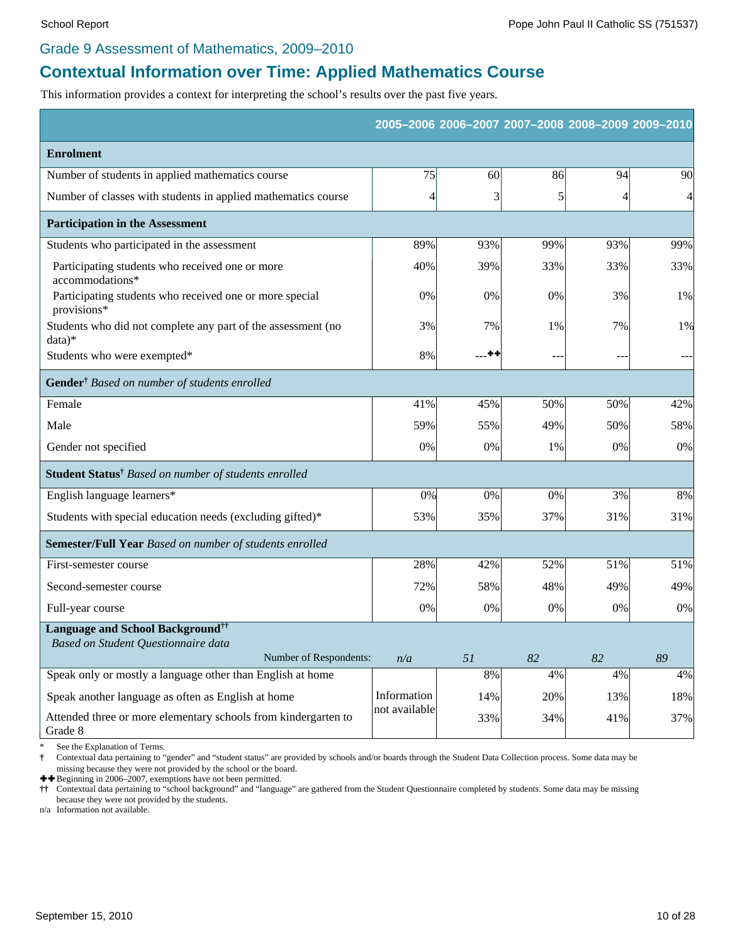#### Grade 9 Assessment of Mathematics, 2009–2010

# **Contextual Information over Time: Applied Mathematics Course**

This information provides a context for interpreting the school's results over the past five years.

|                                                                           |               |                |                | 2005-2006 2006-2007 2007-2008 2008-2009 2009-2010 |     |
|---------------------------------------------------------------------------|---------------|----------------|----------------|---------------------------------------------------|-----|
| <b>Enrolment</b>                                                          |               |                |                |                                                   |     |
| Number of students in applied mathematics course                          | 75            | 60             | 86             | 94                                                | 90  |
| Number of classes with students in applied mathematics course             | 4             | 3              | $\mathfrak{h}$ | 4                                                 | 4   |
| <b>Participation in the Assessment</b>                                    |               |                |                |                                                   |     |
| Students who participated in the assessment                               | 89%           | 93%            | 99%            | 93%                                               | 99% |
| Participating students who received one or more<br>accommodations*        | 40%           | 39%            | 33%            | 33%                                               | 33% |
| Participating students who received one or more special<br>provisions*    | 0%            | 0%             | 0%             | 3%                                                | 1%  |
| Students who did not complete any part of the assessment (no<br>$data)*$  | 3%            | 7%             | 1%             | 7%                                                | 1%  |
| Students who were exempted*                                               | 8%            | $^{\tiny{++}}$ | ٠.             | $-$                                               | --- |
| Gender <sup>†</sup> Based on number of students enrolled                  |               |                |                |                                                   |     |
| Female                                                                    | 41%           | 45%            | 50%            | 50%                                               | 42% |
| Male                                                                      | 59%           | 55%            | 49%            | 50%                                               | 58% |
| Gender not specified                                                      | 0%            | 0%             | 1%             | 0%                                                | 0%  |
| Student Status <sup>†</sup> Based on number of students enrolled          |               |                |                |                                                   |     |
| English language learners*                                                | 0%            | 0%             | $0\%$          | 3%                                                | 8%  |
| Students with special education needs (excluding gifted)*                 | 53%           | 35%            | 37%            | 31%                                               | 31% |
| <b>Semester/Full Year</b> Based on number of students enrolled            |               |                |                |                                                   |     |
| First-semester course                                                     | 28%           | 42%            | 52%            | 51%                                               | 51% |
| Second-semester course                                                    | 72%           | 58%            | 48%            | 49%                                               | 49% |
| Full-year course                                                          | 0%            | 0%             | $0\%$          | 0%                                                | 0%  |
| <b>Language and School Background</b> <sup>††</sup>                       |               |                |                |                                                   |     |
| Based on Student Questionnaire data<br>Number of Respondents:             | n/a           | 51             | 82             | 82                                                | 89  |
| Speak only or mostly a language other than English at home                |               | 8%             | 4%             | 4%                                                | 4%  |
| Speak another language as often as English at home                        | Information   | 14%            | 20%            | 13%                                               | 18% |
| Attended three or more elementary schools from kindergarten to<br>Grade 8 | not available | 33%            | 34%            | 41%                                               | 37% |

See the Explanation of Terms.

**†** Contextual data pertaining to "gender" and "student status" are provided by schools and/or boards through the Student Data Collection process. Some data may be missing because they were not provided by the school or the board.

 $\blacklozenge$  Beginning in 2006–2007, exemptions have not been permitted.

**††** Contextual data pertaining to "school background" and "language" are gathered from the Student Questionnaire completed by students. Some data may be missing because they were not provided by the students.

n/a Information not available.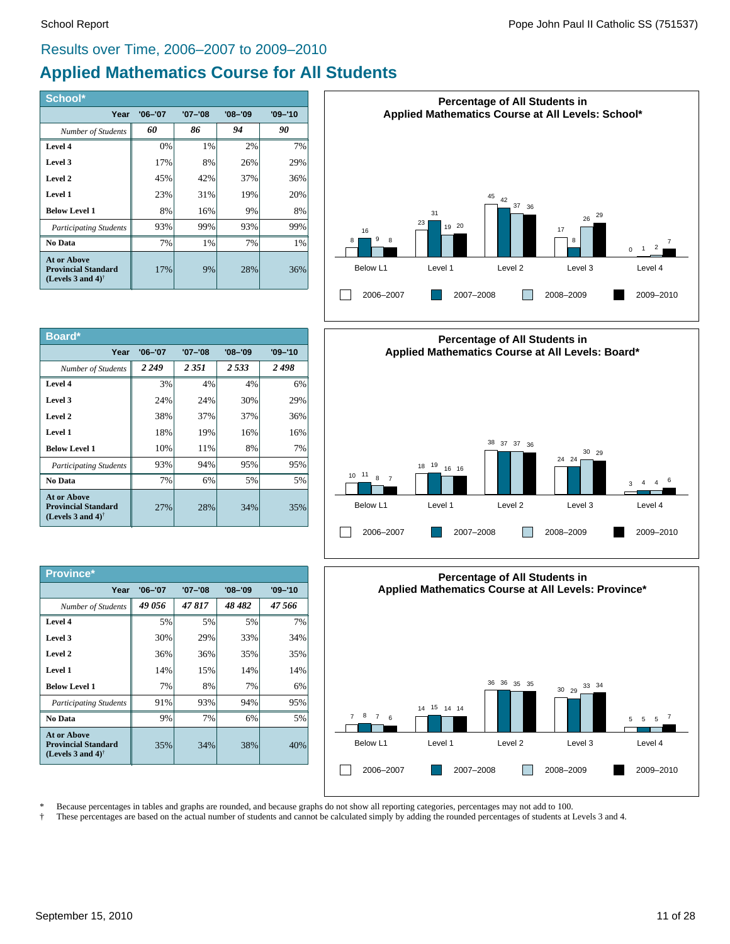## Results over Time, 2006–2007 to 2009–2010

# **Applied Mathematics Course for All Students**

| School*                                                                                              |             |             |             |         |
|------------------------------------------------------------------------------------------------------|-------------|-------------|-------------|---------|
| Year                                                                                                 | $'06 - '07$ | $'07 - '08$ | $'08 - '09$ | '09-'10 |
| Number of Students                                                                                   | 60          | 86          | 94          | 90      |
| Level 4                                                                                              | 0%          | 1%          | 2%          | 7%      |
| Level 3                                                                                              | 17%         | 8%          | 26%         | 29%     |
| Level 2                                                                                              | 45%         | 42%         | 37%         | 36%     |
| Level 1                                                                                              | 23%         | 31%         | 19%         | 20%     |
| <b>Below Level 1</b>                                                                                 | 8%          | 16%         | 9%          | 8%      |
| <b>Participating Students</b>                                                                        | 93%         | 99%         | 93%         | 99%     |
| No Data                                                                                              | 7%          | 1%          | 7%          | 1%      |
| <b>At or Above</b><br><b>Provincial Standard</b><br>(Levels 3 and 4) <sup><math>\dagger</math></sup> | 17%         | 9%          | 28%         | 36%     |

| Board*                                                                                        |             |             |             |         |
|-----------------------------------------------------------------------------------------------|-------------|-------------|-------------|---------|
| Year                                                                                          | $'06 - '07$ | $'07 - '08$ | $'08 - '09$ | '09-'10 |
| Number of Students                                                                            | 2 2 4 9     | 2 3 5 1     | 2.533       | 2498    |
| Level 4                                                                                       | 3%          | 4%          | 4%          | 6%      |
| Level 3                                                                                       | 24%         | 24%         | 30%         | 29%     |
| Level 2                                                                                       | 38%         | 37%         | 37%         | 36%     |
| Level 1                                                                                       | 18%         | 19%         | 16%         | 16%     |
| <b>Below Level 1</b>                                                                          | 10%         | 11%         | 8%          | 7%      |
| <b>Participating Students</b>                                                                 | 93%         | 94%         | 95%         | 95%     |
| No Data                                                                                       | 7%          | 6%          | 5%          | 5%      |
| At or Above<br><b>Provincial Standard</b><br>(Levels 3 and 4) <sup><math>\dagger</math></sup> | 27%         | 28%         | 34%         | 35%     |

| Province*                                                                                     |             |             |             |             |
|-----------------------------------------------------------------------------------------------|-------------|-------------|-------------|-------------|
| Year                                                                                          | $'06 - '07$ | $'07 - '08$ | $'08 - '09$ | $'09 - '10$ |
| Number of Students                                                                            | 49 056      | 47817       | 48 482      | 47.566      |
| Level 4                                                                                       | 5%          | 5%          | 5%          | 7%          |
| Level 3                                                                                       | 30%         | 29%         | 33%         | 34%         |
| Level 2                                                                                       | 36%         | 36%         | 35%         | 35%         |
| Level 1                                                                                       | 14%         | 15%         | 14%         | 14%         |
| <b>Below Level 1</b>                                                                          | 7%          | 8%          | 7%          | 6%          |
| <b>Participating Students</b>                                                                 | 91%         | 93%         | 94%         | 95%         |
| No Data                                                                                       | 9%          | 7%          | 6%          | 5%          |
| At or Above<br><b>Provincial Standard</b><br>(Levels 3 and 4) <sup><math>\dagger</math></sup> | 35%         | 34%         | 38%         | 40%         |







\* Because percentages in tables and graphs are rounded, and because graphs do not show all reporting categories, percentages may not add to 100.<br>These percentages are based on the actual number of students and cannot be ca

† These percentages are based on the actual number of students and cannot be calculated simply by adding the rounded percentages of students at Levels 3 and 4.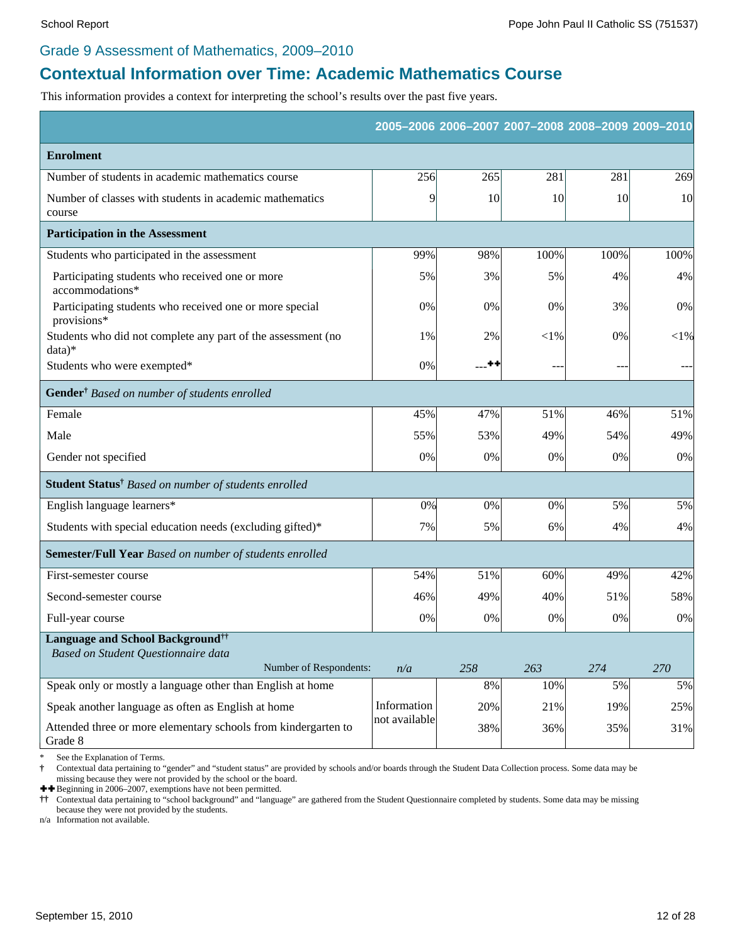#### Grade 9 Assessment of Mathematics, 2009–2010

# **Contextual Information over Time: Academic Mathematics Course**

This information provides a context for interpreting the school's results over the past five years.

|                                                                                            |               |       |           | 2005-2006 2006-2007 2007-2008 2008-2009 2009-2010 |          |
|--------------------------------------------------------------------------------------------|---------------|-------|-----------|---------------------------------------------------|----------|
| <b>Enrolment</b>                                                                           |               |       |           |                                                   |          |
| Number of students in academic mathematics course                                          | 256           | 265   | 281       | 281                                               | 269      |
| Number of classes with students in academic mathematics<br>course                          | 9             | 10    | <b>10</b> | 10                                                | 10       |
| <b>Participation in the Assessment</b>                                                     |               |       |           |                                                   |          |
| Students who participated in the assessment                                                | 99%           | 98%   | 100%      | 100%                                              | 100%     |
| Participating students who received one or more<br>accommodations*                         | 5%            | 3%    | 5%        | 4%                                                | 4%       |
| Participating students who received one or more special<br>provisions*                     | 0%            | 0%    | 0%        | 3%                                                | 0%       |
| Students who did not complete any part of the assessment (no<br>$data)*$                   | 1%            | 2%    | ${<}1\%$  | 0%                                                | ${<}1\%$ |
| Students who were exempted*                                                                | 0%            | - ++  | $-$       | $-$                                               |          |
| Gender <sup>†</sup> Based on number of students enrolled                                   |               |       |           |                                                   |          |
| Female                                                                                     | 45%           | 47%   | 51%       | 46%                                               | 51%      |
| Male                                                                                       | 55%           | 53%   | 49%       | 54%                                               | 49%      |
| Gender not specified                                                                       | 0%            | 0%    | 0%        | 0%                                                | $0\%$    |
| Student Status <sup>†</sup> Based on number of students enrolled                           |               |       |           |                                                   |          |
| English language learners*                                                                 | 0%            | 0%    | 0%        | 5%                                                | 5%       |
| Students with special education needs (excluding gifted)*                                  | 7%            | 5%    | 6%        | 4%                                                | 4%       |
| Semester/Full Year Based on number of students enrolled                                    |               |       |           |                                                   |          |
| First-semester course                                                                      | 54%           | 51%   | 60%       | 49%                                               | 42%      |
| Second-semester course                                                                     | 46%           | 49%   | 40%       | 51%                                               | 58%      |
| Full-year course                                                                           | 0%            | 0%    | 0%        | 0%                                                | $0\%$    |
| <b>Language and School Background</b> <sup>††</sup><br>Based on Student Questionnaire data |               |       |           |                                                   |          |
| Number of Respondents:                                                                     | n/a           | 258   | 263       | 274                                               | 270      |
| Speak only or mostly a language other than English at home                                 |               | $8\%$ | 10%       | 5%                                                | 5%       |
| Speak another language as often as English at home                                         | Information   | 20%   | 21%       | 19%                                               | 25%      |
| Attended three or more elementary schools from kindergarten to<br>Grade 8                  | not available | 38%   | 36%       | 35%                                               | 31%      |

See the Explanation of Terms.

**†** Contextual data pertaining to "gender" and "student status" are provided by schools and/or boards through the Student Data Collection process. Some data may be missing because they were not provided by the school or the board.

 $\pm$  **+ Beginning in 2006–2007, exemptions have not been permitted.**<br>  $\dagger \dagger$  Contextual data pertaining to "school background" and "langual"

**††** Contextual data pertaining to "school background" and "language" are gathered from the Student Questionnaire completed by students. Some data may be missing because they were not provided by the students.

n/a Information not available.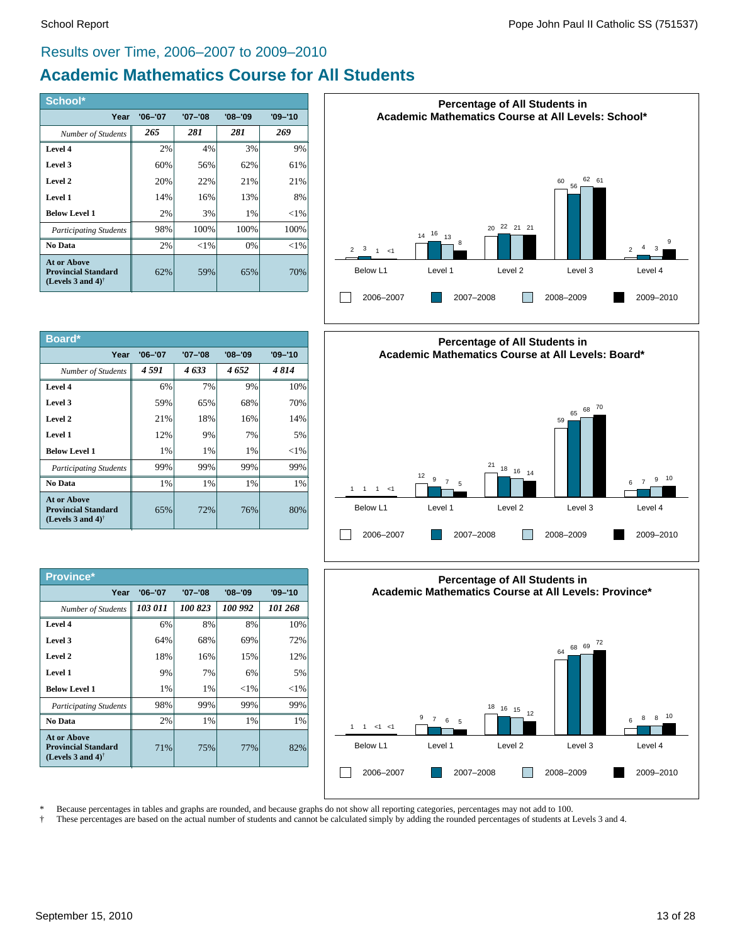### Results over Time, 2006–2007 to 2009–2010

# **Academic Mathematics Course for All Students**

| School*                                                                                       |             |             |             |             |
|-----------------------------------------------------------------------------------------------|-------------|-------------|-------------|-------------|
| Year                                                                                          | $'06 - '07$ | $'07 - '08$ | $'08 - '09$ | $'09 - '10$ |
| Number of Students                                                                            | 265         | 281         | 281         | 269         |
| Level 4                                                                                       | 2%          | 4%          | 3%          | 9%          |
| Level 3                                                                                       | 60%         | 56%         | 62%         | 61%         |
| Level 2                                                                                       | 20%         | 22%         | 21%         | 21%         |
| Level 1                                                                                       | 14%         | 16%         | 13%         | 8%          |
| <b>Below Level 1</b>                                                                          | 2%          | 3%          | 1%          | ${<}1\%$    |
| <b>Participating Students</b>                                                                 | 98%         | 100%        | 100%        | 100%        |
| No Data                                                                                       | 2%          | ${<}1\%$    | 0%          | $<$ 1%      |
| At or Above<br><b>Provincial Standard</b><br>(Levels 3 and 4) <sup><math>\dagger</math></sup> | 62%         | 59%         | 65%         | 70%         |

| Board*                                                                                        |             |             |             |             |
|-----------------------------------------------------------------------------------------------|-------------|-------------|-------------|-------------|
| Year                                                                                          | $'06 - '07$ | $'07 - '08$ | $'08 - '09$ | $'09 - '10$ |
| <b>Number of Students</b>                                                                     | 4 591       | 4633        | 4652        | 4814        |
| Level 4                                                                                       | 6%          | 7%          | 9%          | 10%         |
| Level 3                                                                                       | 59%         | 65%         | 68%         | 70%         |
| Level 2                                                                                       | 21%         | 18%         | 16%         | 14%         |
| Level 1                                                                                       | 12%         | 9%          | 7%          | 5%          |
| <b>Below Level 1</b>                                                                          | $1\%$       | 1%          | $1\%$       | ${<}1\%$    |
| <b>Participating Students</b>                                                                 | 99%         | 99%         | 99%         | 99%         |
| No Data                                                                                       | 1%          | 1%          | 1%          | 1%          |
| At or Above<br><b>Provincial Standard</b><br>(Levels 3 and 4) <sup><math>\dagger</math></sup> | 65%         | 72%         | 76%         | 80%         |

| Province*                                                                                            |             |             |             |             |
|------------------------------------------------------------------------------------------------------|-------------|-------------|-------------|-------------|
| Year                                                                                                 | $'06 - '07$ | $'07 - '08$ | $'08 - '09$ | $'09 - '10$ |
| Number of Students                                                                                   | 103 011     | 100 823     | 100 992     | 101 268     |
| Level 4                                                                                              | 6%          | 8%          | 8%          | 10%         |
| Level 3                                                                                              | 64%         | 68%         | 69%         | 72%         |
| Level 2                                                                                              | 18%         | 16%         | 15%         | 12%         |
| Level 1                                                                                              | 9%          | 7%          | 6%          | 5%          |
| <b>Below Level 1</b>                                                                                 | 1%          | $1\%$       | ${<}1\%$    | ${<}1\%$    |
| <b>Participating Students</b>                                                                        | 98%         | 99%         | 99%         | 99%         |
| No Data                                                                                              | 2%          | $1\%$       | $1\%$       | 1%          |
| <b>At or Above</b><br><b>Provincial Standard</b><br>(Levels 3 and 4) <sup><math>\dagger</math></sup> | 71%         | 75%         | 77%         | 82%         |







\* Because percentages in tables and graphs are rounded, and because graphs do not show all reporting categories, percentages may not add to 100.

† These percentages are based on the actual number of students and cannot be calculated simply by adding the rounded percentages of students at Levels 3 and 4.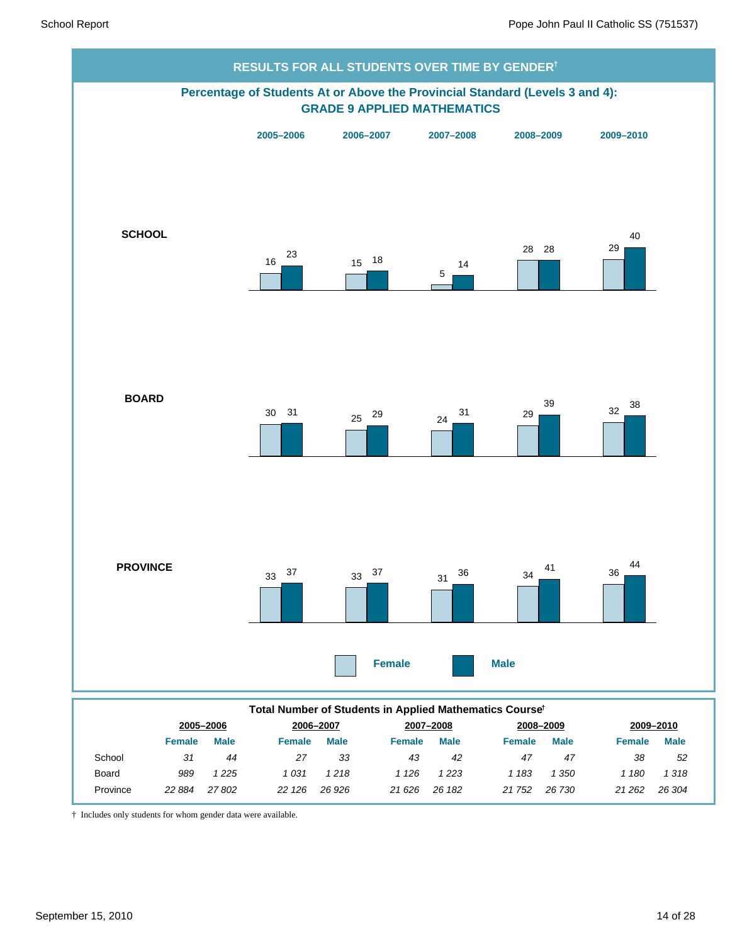

† Includes only students for whom gender data were available.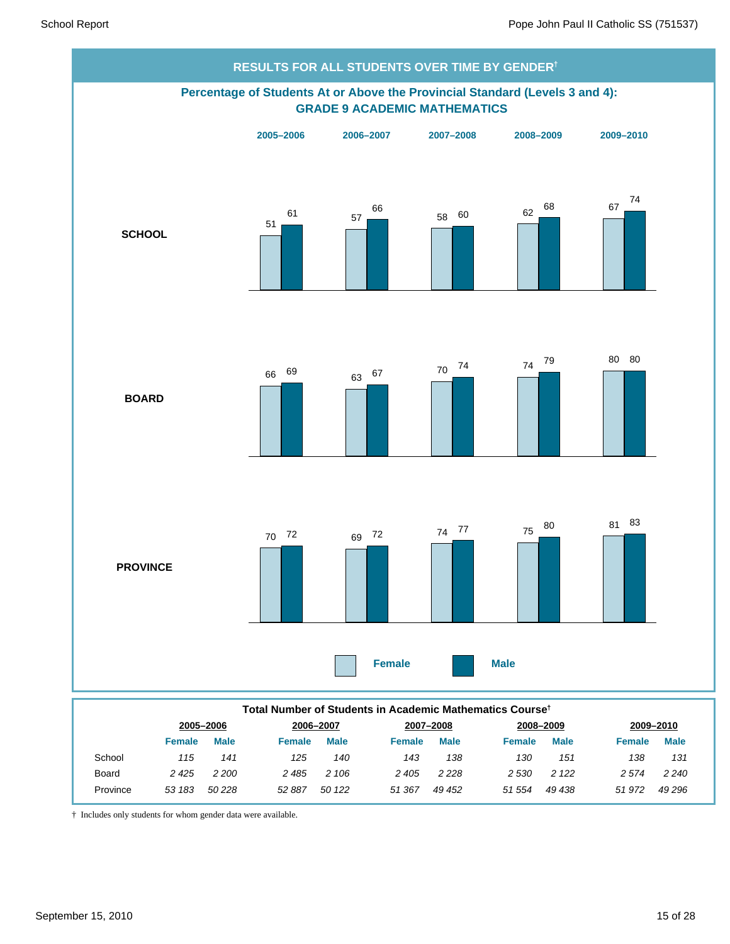

*50 122 51 367*

† Includes only students for whom gender data were available.

Province *53 183*

*50 228 52 887*

*51 972 49 296*

*49 438*

*49 452 51 554*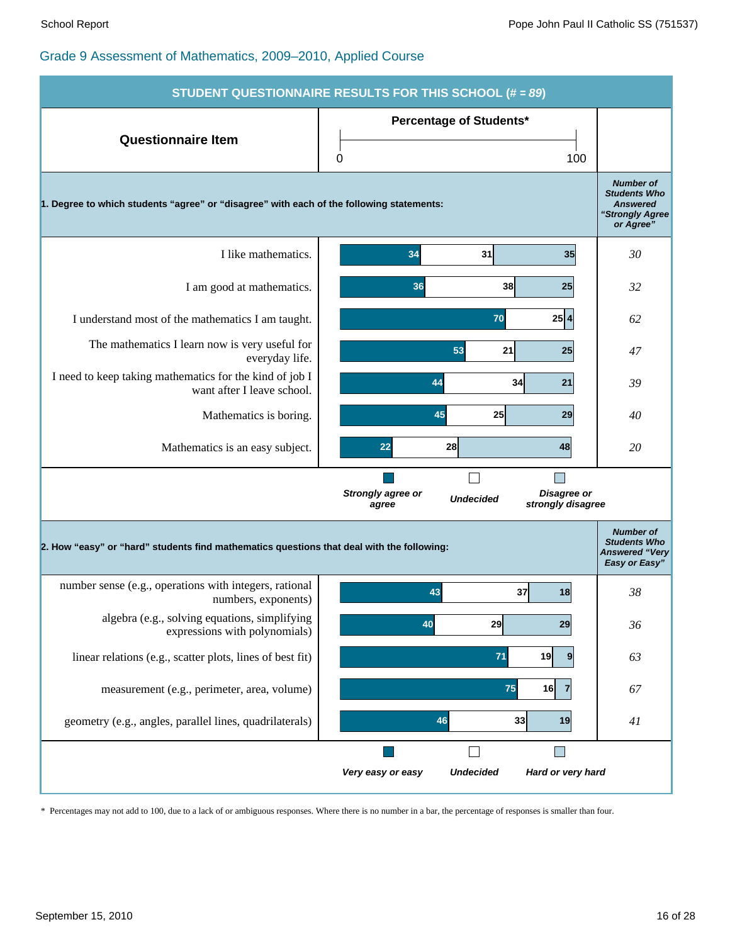|                                                                                           | <b>STUDENT QUESTIONNAIRE RESULTS FOR THIS SCHOOL (# = 89)</b>                      |                                                                                            |
|-------------------------------------------------------------------------------------------|------------------------------------------------------------------------------------|--------------------------------------------------------------------------------------------|
| <b>Questionnaire Item</b>                                                                 | <b>Percentage of Students*</b><br>100<br>0                                         |                                                                                            |
| 1. Degree to which students "agree" or "disagree" with each of the following statements:  |                                                                                    | <b>Number of</b><br><b>Students Who</b><br><b>Answered</b><br>"Strongly Agree<br>or Agree" |
| I like mathematics.                                                                       | 35<br>34<br>31                                                                     | 30                                                                                         |
| I am good at mathematics.                                                                 | 38<br>25<br>36                                                                     | 32                                                                                         |
| I understand most of the mathematics I am taught.                                         | $25 \mid 4$<br>70                                                                  | 62                                                                                         |
| The mathematics I learn now is very useful for<br>everyday life.                          | 53<br>21<br>25                                                                     | 47                                                                                         |
| I need to keep taking mathematics for the kind of job I<br>want after I leave school.     | 44<br>34<br>21                                                                     | 39                                                                                         |
| Mathematics is boring.                                                                    | 45<br>25<br>29                                                                     | 40                                                                                         |
| Mathematics is an easy subject.                                                           | 28<br>22<br>48                                                                     | 20                                                                                         |
|                                                                                           | Strongly agree or<br>Disagree or<br><b>Undecided</b><br>strongly disagree<br>agree |                                                                                            |
| 2. How "easy" or "hard" students find mathematics questions that deal with the following: |                                                                                    | <b>Number of</b><br><b>Students Who</b><br><b>Answered "Very</b><br>Easy or Easy"          |
| number sense (e.g., operations with integers, rational<br>numbers, exponents)             | 43<br>37<br>18                                                                     | 38                                                                                         |
| algebra (e.g., solving equations, simplifying<br>expressions with polynomials)            | 40<br>29<br>29                                                                     | 36                                                                                         |
| linear relations (e.g., scatter plots, lines of best fit)                                 | 71<br>19<br>9                                                                      | 63                                                                                         |
| measurement (e.g., perimeter, area, volume)                                               | 75<br>16<br>7                                                                      | 67                                                                                         |
| geometry (e.g., angles, parallel lines, quadrilaterals)                                   | 46<br>33<br>19                                                                     | 41                                                                                         |
|                                                                                           | <b>Undecided</b><br>Hard or very hard<br>Very easy or easy                         |                                                                                            |

\* Percentages may not add to 100, due to a lack of or ambiguous responses. Where there is no number in a bar, the percentage of responses is smaller than four.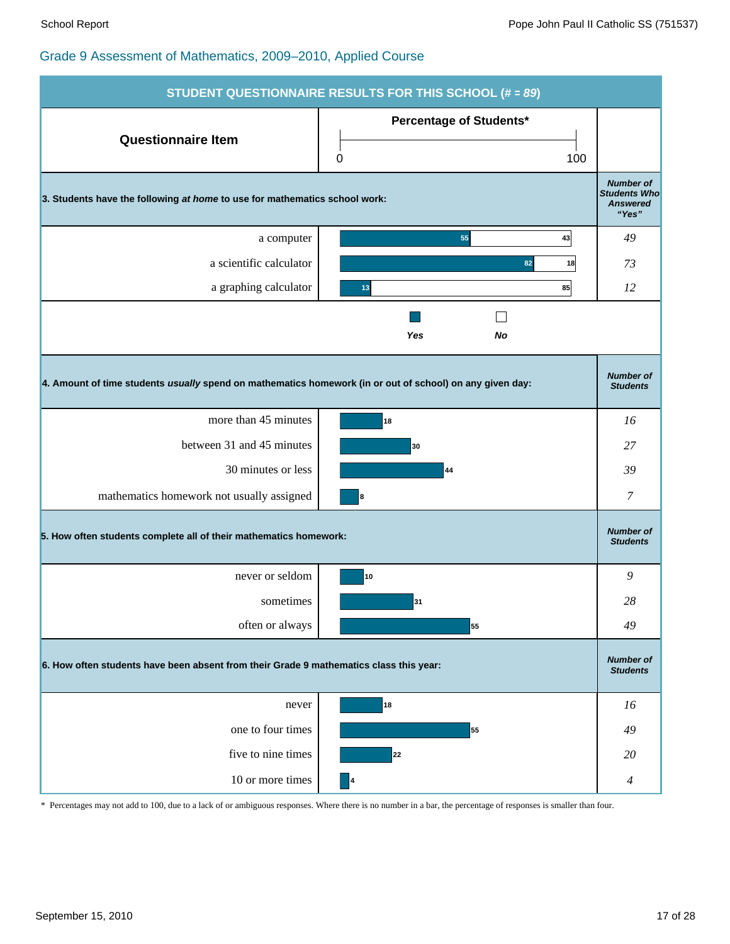|                                                                                                          | <b>STUDENT QUESTIONNAIRE RESULTS FOR THIS SCHOOL (# = 89)</b> |                                                                     |  |  |
|----------------------------------------------------------------------------------------------------------|---------------------------------------------------------------|---------------------------------------------------------------------|--|--|
| <b>Questionnaire Item</b>                                                                                | <b>Percentage of Students*</b>                                |                                                                     |  |  |
|                                                                                                          | 100<br>0                                                      |                                                                     |  |  |
| 3. Students have the following at home to use for mathematics school work:                               |                                                               | <b>Number of</b><br><b>Students Who</b><br><b>Answered</b><br>"Yes" |  |  |
| a computer                                                                                               | 55<br>43                                                      | 49                                                                  |  |  |
| a scientific calculator                                                                                  | 82<br>18                                                      | 73                                                                  |  |  |
| a graphing calculator                                                                                    | 85<br>13                                                      | 12                                                                  |  |  |
|                                                                                                          | Yes<br>No                                                     |                                                                     |  |  |
| 4. Amount of time students usually spend on mathematics homework (in or out of school) on any given day: |                                                               | <b>Number of</b><br><b>Students</b>                                 |  |  |
| more than 45 minutes                                                                                     | 18                                                            | 16                                                                  |  |  |
| between 31 and 45 minutes                                                                                | 30                                                            | 27                                                                  |  |  |
| 30 minutes or less                                                                                       | 44                                                            | 39                                                                  |  |  |
| mathematics homework not usually assigned                                                                | 8                                                             | 7                                                                   |  |  |
| 5. How often students complete all of their mathematics homework:                                        |                                                               | <b>Number of</b><br><b>Students</b>                                 |  |  |
| never or seldom                                                                                          | 10                                                            | 9                                                                   |  |  |
| sometimes                                                                                                | 31                                                            | 28                                                                  |  |  |
| often or always                                                                                          | 55                                                            | 49                                                                  |  |  |
| 6. How often students have been absent from their Grade 9 mathematics class this year:                   |                                                               |                                                                     |  |  |
| never                                                                                                    | 18                                                            | 16                                                                  |  |  |
| one to four times                                                                                        | 55                                                            | 49                                                                  |  |  |
| five to nine times                                                                                       | 22                                                            | 20                                                                  |  |  |
| 10 or more times                                                                                         | $\vert$ <sup>4</sup>                                          | 4                                                                   |  |  |

\* Percentages may not add to 100, due to a lack of or ambiguous responses. Where there is no number in a bar, the percentage of responses is smaller than four.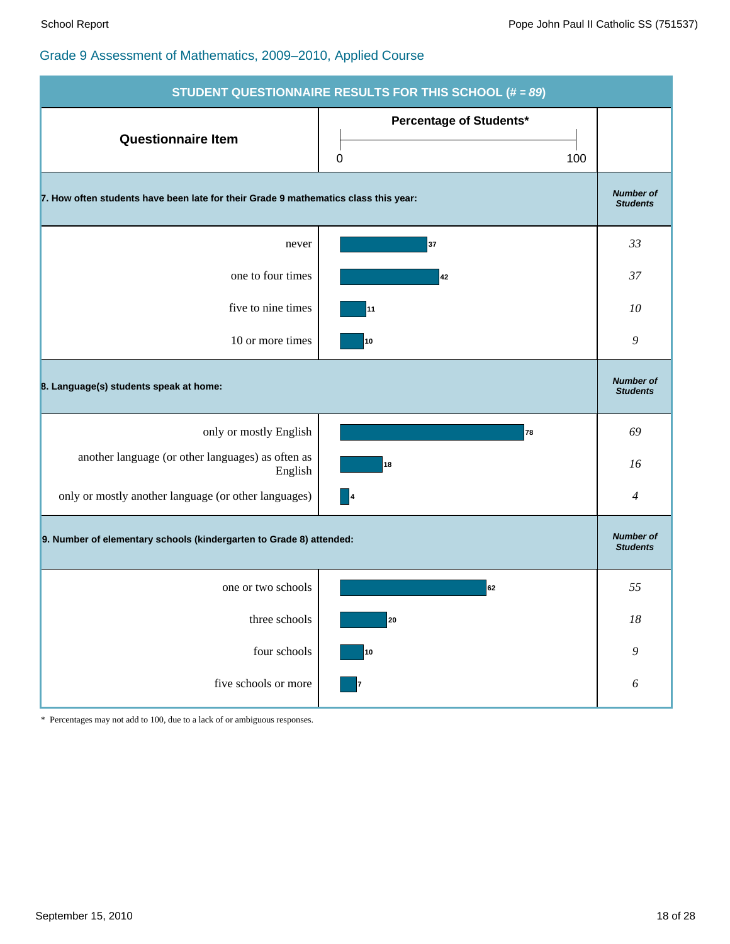|                                                                                     | <b>STUDENT QUESTIONNAIRE RESULTS FOR THIS SCHOOL (# = 89)</b> |                                     |
|-------------------------------------------------------------------------------------|---------------------------------------------------------------|-------------------------------------|
| <b>Questionnaire Item</b>                                                           | Percentage of Students*<br>0<br>100                           |                                     |
| 7. How often students have been late for their Grade 9 mathematics class this year: |                                                               | <b>Number of</b><br><b>Students</b> |
| never                                                                               | 37                                                            | 33                                  |
| one to four times                                                                   | 42                                                            | 37                                  |
| five to nine times                                                                  | 11                                                            | 10                                  |
| 10 or more times                                                                    | 10                                                            | 9                                   |
| 8. Language(s) students speak at home:                                              |                                                               | <b>Number of</b><br><b>Students</b> |
| only or mostly English                                                              | 78                                                            | 69                                  |
| another language (or other languages) as often as<br>English                        | 18                                                            | 16                                  |
| only or mostly another language (or other languages)                                | $\overline{\phantom{a}}$                                      | $\overline{4}$                      |
| 9. Number of elementary schools (kindergarten to Grade 8) attended:                 |                                                               | <b>Number of</b><br><b>Students</b> |
| one or two schools                                                                  | 62                                                            | 55                                  |
| three schools                                                                       | 20                                                            | $18\,$                              |
| four schools                                                                        | ${\bf 10}$                                                    | 9                                   |
| five schools or more                                                                | 7                                                             | 6                                   |

\* Percentages may not add to 100, due to a lack of or ambiguous responses.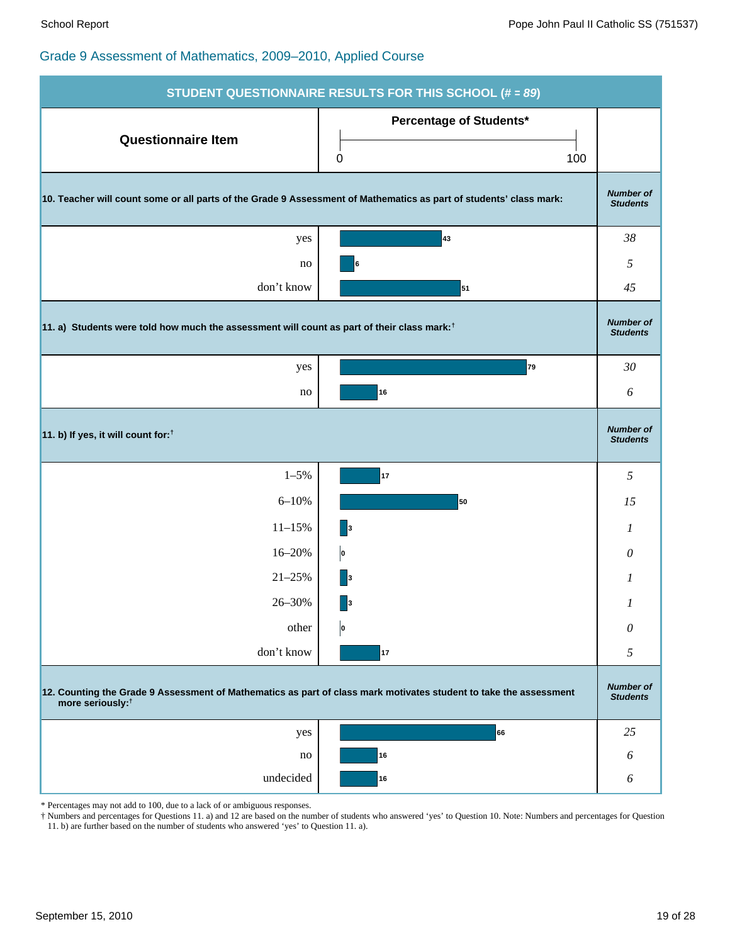|                                                                                                                                                   | <b>STUDENT QUESTIONNAIRE RESULTS FOR THIS SCHOOL (# = 89)</b> |                                     |  |  |  |  |
|---------------------------------------------------------------------------------------------------------------------------------------------------|---------------------------------------------------------------|-------------------------------------|--|--|--|--|
| <b>Questionnaire Item</b>                                                                                                                         | Percentage of Students*<br>100<br>0                           |                                     |  |  |  |  |
| 10. Teacher will count some or all parts of the Grade 9 Assessment of Mathematics as part of students' class mark:                                |                                                               | <b>Number of</b><br><b>Students</b> |  |  |  |  |
| yes                                                                                                                                               | 43                                                            | 38                                  |  |  |  |  |
| no                                                                                                                                                | 6                                                             | 5                                   |  |  |  |  |
| don't know                                                                                                                                        | 51                                                            | 45                                  |  |  |  |  |
| 11. a) Students were told how much the assessment will count as part of their class mark: <sup>†</sup>                                            |                                                               | <b>Number of</b><br><b>Students</b> |  |  |  |  |
| yes                                                                                                                                               | 79                                                            | 30                                  |  |  |  |  |
| no                                                                                                                                                | 16                                                            | 6                                   |  |  |  |  |
| 11. b) If yes, it will count for: <sup>†</sup>                                                                                                    |                                                               | <b>Number of</b><br><b>Students</b> |  |  |  |  |
| $1 - 5\%$                                                                                                                                         | 17                                                            | 5                                   |  |  |  |  |
| $6 - 10%$                                                                                                                                         | 50                                                            | 15                                  |  |  |  |  |
| $11 - 15%$                                                                                                                                        | $\vert$ 3                                                     | 1                                   |  |  |  |  |
| 16-20%                                                                                                                                            | þ                                                             | 0                                   |  |  |  |  |
| $21 - 25%$                                                                                                                                        | $\vert$ 3                                                     | 1                                   |  |  |  |  |
| 26-30%                                                                                                                                            | 3                                                             | 1                                   |  |  |  |  |
| other                                                                                                                                             | o                                                             | $\theta$                            |  |  |  |  |
| don't know                                                                                                                                        | 17                                                            | 5                                   |  |  |  |  |
| 12. Counting the Grade 9 Assessment of Mathematics as part of class mark motivates student to take the assessment<br>more seriously: <sup>†</sup> |                                                               | <b>Number of</b><br><b>Students</b> |  |  |  |  |
| yes                                                                                                                                               | 66                                                            | 25                                  |  |  |  |  |
| no                                                                                                                                                | 16                                                            | 6                                   |  |  |  |  |
|                                                                                                                                                   |                                                               |                                     |  |  |  |  |

\* Percentages may not add to 100, due to a lack of or ambiguous responses.

† Numbers and percentages for Questions 11. a) and 12 are based on the number of students who answered 'yes' to Question 10. Note: Numbers and percentages for Question 11. b) are further based on the number of students who answered 'yes' to Question 11. a).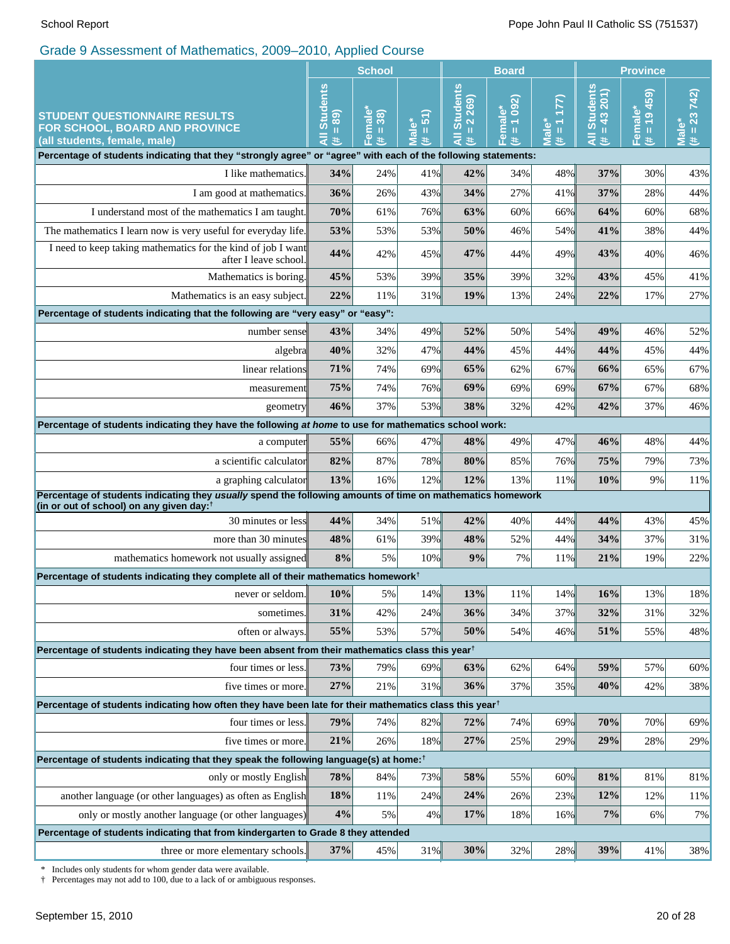|                                                                                                                                           | <b>School</b>                                                |                                        |                                                                | <b>Board</b>                             |                                      | <b>Province</b>                       |                                                              |                                          |                                         |
|-------------------------------------------------------------------------------------------------------------------------------------------|--------------------------------------------------------------|----------------------------------------|----------------------------------------------------------------|------------------------------------------|--------------------------------------|---------------------------------------|--------------------------------------------------------------|------------------------------------------|-----------------------------------------|
| <b>STUDENT QUESTIONNAIRE RESULTS</b><br>FOR SCHOOL, BOARD AND PROVINCE<br>(all students, female, male)                                    | <b>Students</b><br>$\overline{68}$<br>$\mathbf{I}$<br>₹<br>共 | Female*<br>$(\# = 38)$                 | $\overline{51}$<br>ٶٞ<br>$\mathbf \mathbf I$<br>$\bar{1}$<br># | <b>Students</b><br>2 269)<br>Ш<br>₹<br>共 | 1092<br>Female*<br>$\, \rm{II}$<br>共 | (177)<br>Male <sup>*</sup><br>$# = 1$ | <b>Students</b><br>43 201)<br>$\mathbf{u}$<br>$\bar{a}$<br>業 | (65p 61)<br>Female*<br>$\mathbf{u}$<br>违 | $# = 23742$<br>$\bar{\bar{\mathbf{z}}}$ |
| Percentage of students indicating that they "strongly agree" or "agree" with each of the following statements:                            |                                                              |                                        |                                                                |                                          |                                      |                                       |                                                              |                                          |                                         |
| I like mathematics.                                                                                                                       | 34%                                                          | 24%                                    | 41%                                                            | 42%                                      | 34%                                  | 48%                                   | 37%                                                          | 30%                                      | 43%                                     |
| I am good at mathematics.                                                                                                                 | 36%                                                          | 26%                                    | 43%                                                            | 34%                                      | 27%                                  | 41%                                   | 37%                                                          | 28%                                      | 44%                                     |
| I understand most of the mathematics I am taught.                                                                                         | 70%                                                          | 61%                                    | 76%                                                            | 63%                                      | 60%                                  | 66%                                   | 64%                                                          | 60%                                      | 68%                                     |
| The mathematics I learn now is very useful for everyday life.                                                                             | 53%                                                          | 53%                                    | 53%                                                            | 50%                                      | 46%                                  | 54%                                   | 41%                                                          | 38%                                      | 44%                                     |
| I need to keep taking mathematics for the kind of job I want<br>after I leave school.                                                     | 44%                                                          | 42%                                    | 45%                                                            | 47%                                      | 44%                                  | 49%                                   | 43%                                                          | 40%                                      | 46%                                     |
| Mathematics is boring.                                                                                                                    | 45%                                                          | 53%                                    | 39%                                                            | 35%                                      | 39%                                  | 32%                                   | 43%                                                          | 45%                                      | 41%                                     |
| Mathematics is an easy subject.                                                                                                           | 22%                                                          | 11%                                    | 31%                                                            | 19%                                      | 13%                                  | 24%                                   | 22%                                                          | 17%                                      | 27%                                     |
| Percentage of students indicating that the following are "very easy" or "easy":                                                           |                                                              |                                        |                                                                |                                          |                                      |                                       |                                                              |                                          |                                         |
| number sense                                                                                                                              | 43%                                                          | 34%                                    | 49%                                                            | 52%                                      | 50%                                  | 54%                                   | 49%                                                          | 46%                                      | 52%                                     |
| algebra                                                                                                                                   | 40%                                                          | 32%                                    | 47%                                                            | 44%                                      | 45%                                  | 44%                                   | 44%                                                          | 45%                                      | 44%                                     |
| linear relations                                                                                                                          | 71%                                                          | 74%                                    | 69%                                                            | 65%                                      | 62%                                  | 67%                                   | 66%                                                          | 65%                                      | 67%                                     |
| measurement                                                                                                                               |                                                              | 74%                                    | 76%                                                            | 69%                                      | 69%                                  | 69%                                   | 67%                                                          | 67%                                      | 68%                                     |
| geometry                                                                                                                                  | 46%                                                          | 37%<br>53%<br>38%<br>42%<br>42%<br>32% |                                                                |                                          |                                      |                                       |                                                              | 37%                                      | 46%                                     |
| Percentage of students indicating they have the following at home to use for mathematics school work:                                     |                                                              |                                        |                                                                |                                          |                                      |                                       |                                                              |                                          |                                         |
| a computer                                                                                                                                | 55%                                                          | 66%                                    | 47%                                                            | 48%                                      | 49%                                  | 47%                                   | 46%                                                          | 48%                                      | 44%                                     |
| a scientific calculator                                                                                                                   | 82%                                                          | 87%                                    | 78%                                                            | 80%                                      | 85%                                  | 76%                                   | 75%                                                          | 79%                                      | 73%                                     |
| a graphing calculator<br>Percentage of students indicating they usually spend the following amounts of time on mathematics homework       | 13%                                                          | 16%                                    | 12%                                                            | 12%                                      | 13%                                  | 11%                                   | 10%                                                          | 9%                                       | 11%                                     |
| (in or out of school) on any given day: $†$                                                                                               |                                                              |                                        |                                                                |                                          |                                      |                                       |                                                              |                                          |                                         |
| 30 minutes or less                                                                                                                        | 44%                                                          | 34%                                    | 51%                                                            | 42%                                      | 40%                                  | 44%                                   | 44%                                                          | 43%                                      | 45%                                     |
| more than 30 minutes                                                                                                                      | 48%                                                          | 61%                                    | 39%                                                            | 48%                                      | 52%                                  | 44%                                   | 34%                                                          | 37%                                      | 31%                                     |
| mathematics homework not usually assigned                                                                                                 | 8%                                                           | 5%                                     | 10%                                                            | 9%                                       | 7%                                   | 11%                                   | 21%                                                          | 19%                                      | 22%                                     |
| Percentage of students indicating they complete all of their mathematics homework <sup>†</sup>                                            |                                                              |                                        |                                                                |                                          |                                      |                                       |                                                              |                                          |                                         |
| never or seldom.                                                                                                                          | 10%                                                          | 5%                                     | 14%                                                            | 13%                                      | 11%                                  | 14%                                   | 16%                                                          | 13%                                      | 18%                                     |
| sometimes.                                                                                                                                | <b>31%</b>                                                   | 42%                                    | 24%                                                            | 36%                                      | 34%                                  | 37%                                   | 32%                                                          | 31%                                      | 32%                                     |
| often or always.                                                                                                                          | 55%                                                          | 53%                                    | 57%                                                            | 50%                                      | 54%                                  | 46%                                   | 51%                                                          | 55%                                      | 48%                                     |
| Percentage of students indicating they have been absent from their mathematics class this year <sup>†</sup>                               |                                                              |                                        |                                                                |                                          |                                      |                                       |                                                              |                                          |                                         |
| four times or less.                                                                                                                       | 73%                                                          | 79%                                    | 69%                                                            | 63%                                      | 62%                                  | 64%                                   | 59%                                                          | 57%                                      | 60%                                     |
| five times or more.                                                                                                                       | 27%                                                          | 21%                                    | 31%                                                            | 36%                                      | 37%                                  | 35%                                   | 40%                                                          | 42%                                      | 38%                                     |
| Percentage of students indicating how often they have been late for their mathematics class this year <sup>†</sup>                        |                                                              |                                        |                                                                |                                          |                                      |                                       |                                                              |                                          |                                         |
| four times or less.                                                                                                                       | 79%                                                          | 74%                                    | 82%                                                            | 72%                                      | 74%                                  | 69%                                   | 70%                                                          | 70%                                      | 69%                                     |
| five times or more.                                                                                                                       | 21%                                                          | 26%                                    | 18%                                                            | 27%                                      | 25%                                  | 29%                                   | 29%                                                          | 28%                                      | 29%                                     |
| Percentage of students indicating that they speak the following language(s) at home: <sup>†</sup>                                         |                                                              |                                        |                                                                |                                          |                                      |                                       |                                                              |                                          |                                         |
| only or mostly English                                                                                                                    | 78%                                                          | 84%                                    | 73%                                                            | 58%                                      | 55%                                  | 60%                                   | 81%                                                          | 81%                                      | 81%                                     |
| another language (or other languages) as often as English                                                                                 | 18%<br>4%                                                    | 11%                                    | 24%                                                            | 24%                                      | 26%                                  | 23%                                   | 12%                                                          | 12%                                      | 11%                                     |
| only or mostly another language (or other languages)<br>Percentage of students indicating that from kindergarten to Grade 8 they attended |                                                              | 5%                                     | 4%                                                             | 17%                                      | 18%                                  | 16%                                   | 7%                                                           | 6%                                       | 7%                                      |
| three or more elementary schools.                                                                                                         | 37%                                                          | 45%                                    | 31%                                                            | 30%                                      | 32%                                  | 28%                                   | 39%                                                          | 41%                                      | 38%                                     |
|                                                                                                                                           |                                                              |                                        |                                                                |                                          |                                      |                                       |                                                              |                                          |                                         |

\* Includes only students for whom gender data were available.

† Percentages may not add to 100, due to a lack of or ambiguous responses.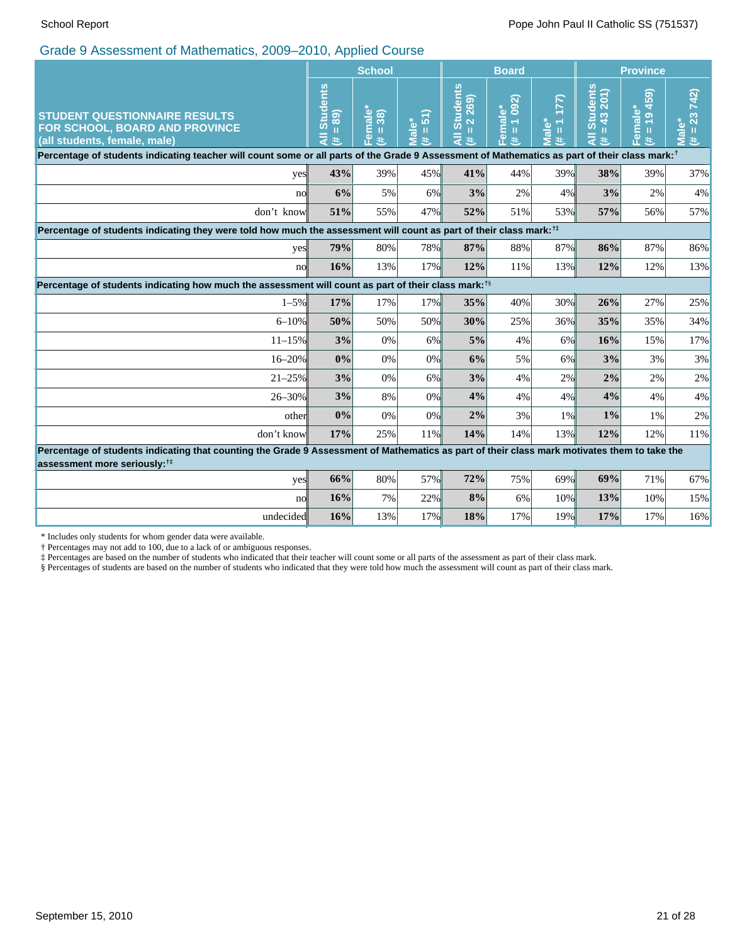|                                                                                                                                                                                          | <b>School</b>                              |                                        |                                                       |                                                                        | <b>Board</b>                                                                                        |                                                                          | <b>Province</b>                           |                                                           |                              |
|------------------------------------------------------------------------------------------------------------------------------------------------------------------------------------------|--------------------------------------------|----------------------------------------|-------------------------------------------------------|------------------------------------------------------------------------|-----------------------------------------------------------------------------------------------------|--------------------------------------------------------------------------|-------------------------------------------|-----------------------------------------------------------|------------------------------|
| <b>STUDENT QUESTIONNAIRE RESULTS</b><br>FOR SCHOOL, BOARD AND PROVINCE<br>(all students, female, male)                                                                                   | <b>Students</b><br>89)<br>Ш<br>$\ast$<br>ď | Female*<br>(# = 38)<br>$\overline{38}$ | $\overline{5}$<br>Ш<br>$\overline{\mathfrak{a}}$<br># | <b>Students</b><br>269)<br>$\overline{\mathbf{N}}$<br>Ш<br>$\ast$<br>₫ | (260)<br>ٶٞ<br>$\overline{\mathbf{c}}$<br>$\leftarrow$<br>ε<br>$\mathbf{II}$<br>$\bar{a}$<br>#<br>m | $\overline{\phantom{0}}$<br>$\frac{1}{\alpha}$<br>$\mathbf{H}$<br>共<br>5 | <b>Students</b><br>43 201<br>T.<br>इ<br>共 | 459)<br>Female*<br>$\frac{1}{2}$<br>$\mathbf{II}$<br>$\#$ | 742)<br>23<br>Male<br>Ш<br>共 |
| Percentage of students indicating teacher will count some or all parts of the Grade 9 Assessment of Mathematics as part of their class mark: <sup>†</sup>                                |                                            |                                        |                                                       |                                                                        |                                                                                                     |                                                                          |                                           |                                                           |                              |
| yes                                                                                                                                                                                      | 43%                                        | 39%                                    | 45%                                                   | 41%                                                                    | 44%                                                                                                 | 39%                                                                      | 38%                                       | 39%                                                       | 37%                          |
| no                                                                                                                                                                                       | 6%                                         | 5%                                     | 6%                                                    | 3%                                                                     | 2%                                                                                                  | 4%                                                                       | 3%                                        | 2%                                                        | $4\%$                        |
| don't know                                                                                                                                                                               | 51%                                        | 55%                                    | 47%                                                   | 52%                                                                    | 51%                                                                                                 | 53%                                                                      | 57%                                       | 56%                                                       | 57%                          |
| Percentage of students indicating they were told how much the assessment will count as part of their class mark: <sup>1‡</sup>                                                           |                                            |                                        |                                                       |                                                                        |                                                                                                     |                                                                          |                                           |                                                           |                              |
| yes                                                                                                                                                                                      | 79%                                        | 80%                                    | 78%                                                   | 87%                                                                    | 88%                                                                                                 | 87%                                                                      | 86%                                       | 87%                                                       | 86%                          |
| no                                                                                                                                                                                       | 16%                                        | 13%                                    | 17%                                                   | 12%                                                                    | 11%                                                                                                 | 13%                                                                      | 12%                                       | 12%                                                       | 13%                          |
| Percentage of students indicating how much the assessment will count as part of their class mark: <sup>18</sup>                                                                          |                                            |                                        |                                                       |                                                                        |                                                                                                     |                                                                          |                                           |                                                           |                              |
| $1 - 5\%$                                                                                                                                                                                | 17%                                        | 17%                                    | 17%                                                   | 35%                                                                    | 40%                                                                                                 | 30%                                                                      | 26%                                       | 27%                                                       | 25%                          |
| $6 - 10%$                                                                                                                                                                                | 50%                                        | 50%                                    | 50%                                                   | 30%                                                                    | 25%                                                                                                 | 36%                                                                      | 35%                                       | 35%                                                       | 34%                          |
| $11 - 15%$                                                                                                                                                                               | 3%                                         | 0%                                     | 6%                                                    | 5%                                                                     | 4%                                                                                                  | 6%                                                                       | 16%                                       | 15%                                                       | 17%                          |
| $16 - 20%$                                                                                                                                                                               | 0%                                         | 0%                                     | 0%                                                    | 6%                                                                     | 5%                                                                                                  | 6%                                                                       | 3%                                        | 3%                                                        | 3%                           |
| $21 - 25%$                                                                                                                                                                               | 3%                                         | 0%                                     | 6%                                                    | 3%                                                                     | 4%                                                                                                  | 2%                                                                       | 2%                                        | 2%                                                        | 2%                           |
| 26-30%                                                                                                                                                                                   | 3%                                         | 8%                                     | 0%                                                    | 4%                                                                     | 4%                                                                                                  | 4%                                                                       | 4%                                        | 4%                                                        | 4%                           |
| other                                                                                                                                                                                    | 0%                                         | 0%                                     | 0%                                                    | 2%                                                                     | 3%                                                                                                  | $1\%$                                                                    | 1%                                        | 1%                                                        | 2%                           |
| don't know                                                                                                                                                                               | 17%                                        | 25%                                    | 11%                                                   | 14%                                                                    | 14%                                                                                                 | 13%                                                                      | 12%                                       | 12%                                                       | 11%                          |
| Percentage of students indicating that counting the Grade 9 Assessment of Mathematics as part of their class mark motivates them to take the<br>assessment more seriously: <sup>†‡</sup> |                                            |                                        |                                                       |                                                                        |                                                                                                     |                                                                          |                                           |                                                           |                              |
| yes                                                                                                                                                                                      | 66%                                        | 80%                                    | 57%                                                   | 72%                                                                    | 75%                                                                                                 | 69%                                                                      | 69%                                       | 71%                                                       | 67%                          |
| no                                                                                                                                                                                       | 16%                                        | 7%                                     | 22%                                                   | 8%                                                                     | 6%                                                                                                  | 10%                                                                      | 13%                                       | 10%                                                       | 15%                          |
| undecided                                                                                                                                                                                | 16%                                        | 13%                                    | 17%                                                   | 18%                                                                    | 17%                                                                                                 | 19%                                                                      | 17%                                       | 17%                                                       | 16%                          |

\* Includes only students for whom gender data were available.

† Percentages may not add to 100, due to a lack of or ambiguous responses.

‡ Percentages are based on the number of students who indicated that their teacher will count some or all parts of the assessment as part of their class mark.

§ Percentages of students are based on the number of students who indicated that they were told how much the assessment will count as part of their class mark.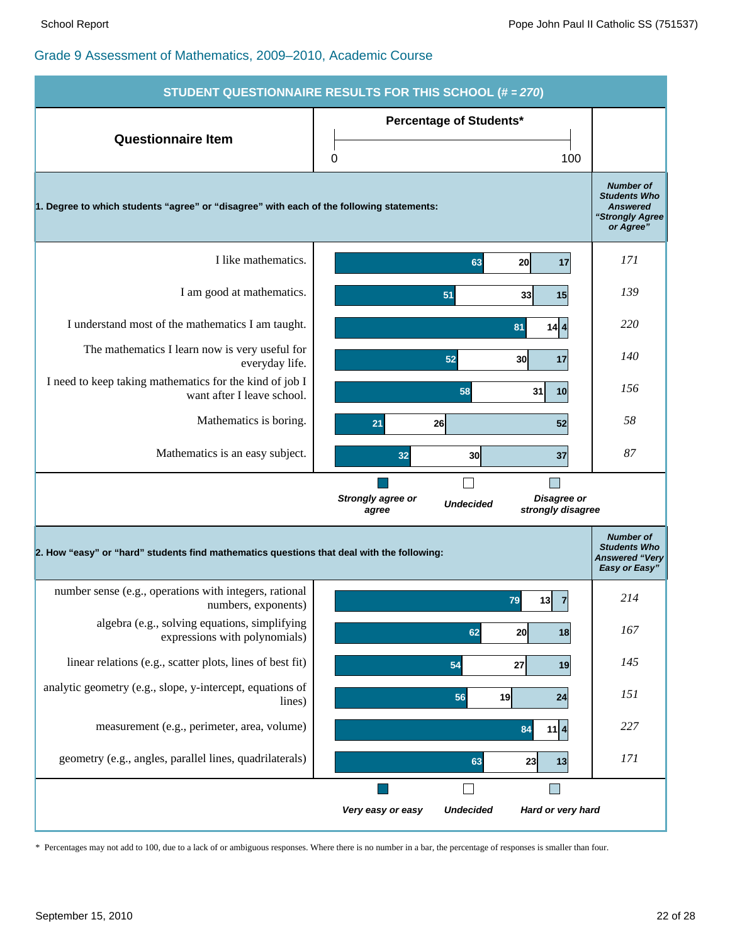|                                                                                           | STUDENT QUESTIONNAIRE RESULTS FOR THIS SCHOOL (# = 270)                            |                                                                                            |
|-------------------------------------------------------------------------------------------|------------------------------------------------------------------------------------|--------------------------------------------------------------------------------------------|
| <b>Questionnaire Item</b>                                                                 | <b>Percentage of Students*</b>                                                     |                                                                                            |
|                                                                                           | 0<br>100                                                                           |                                                                                            |
| 1. Degree to which students "agree" or "disagree" with each of the following statements:  |                                                                                    | <b>Number of</b><br><b>Students Who</b><br><b>Answered</b><br>"Strongly Agree<br>or Agree" |
| I like mathematics.                                                                       | 63<br><b>20</b><br>17                                                              | 171                                                                                        |
| I am good at mathematics.                                                                 | 51<br>33<br>15                                                                     | 139                                                                                        |
| I understand most of the mathematics I am taught.                                         | $14$ 4<br>81                                                                       | 220                                                                                        |
| The mathematics I learn now is very useful for<br>everyday life.                          | 52<br>30<br>17                                                                     | 140                                                                                        |
| I need to keep taking mathematics for the kind of job I<br>want after I leave school.     | 58<br>31<br>10                                                                     | 156                                                                                        |
| Mathematics is boring.                                                                    | 26<br>52<br>21                                                                     | 58                                                                                         |
| Mathematics is an easy subject.                                                           | 32<br>30<br>37                                                                     | 87                                                                                         |
|                                                                                           | Disagree or<br>Strongly agree or<br><b>Undecided</b><br>strongly disagree<br>agree |                                                                                            |
| 2. How "easy" or "hard" students find mathematics questions that deal with the following: |                                                                                    | <b>Number of</b><br><b>Students Who</b><br><b>Answered "Very</b><br>Easy or Easy"          |
| number sense (e.g., operations with integers, rational<br>numbers, exponents)             | 13<br>$\overline{7}$<br>79                                                         | 214                                                                                        |
| algebra (e.g., solving equations, simplifying<br>expressions with polynomials)            | 20<br>62<br>18                                                                     | 167                                                                                        |
| linear relations (e.g., scatter plots, lines of best fit)                                 | 27<br>54<br>19                                                                     | 145                                                                                        |
| analytic geometry (e.g., slope, y-intercept, equations of<br>lines)                       | 56<br>19<br>24                                                                     | 151                                                                                        |
| measurement (e.g., perimeter, area, volume)                                               | $11$ $4$<br>84                                                                     | 227                                                                                        |
| geometry (e.g., angles, parallel lines, quadrilaterals)                                   | 63<br>23<br>13                                                                     | 171                                                                                        |
|                                                                                           | Г                                                                                  |                                                                                            |
|                                                                                           | <b>Undecided</b><br>Hard or very hard<br>Very easy or easy                         |                                                                                            |

\* Percentages may not add to 100, due to a lack of or ambiguous responses. Where there is no number in a bar, the percentage of responses is smaller than four.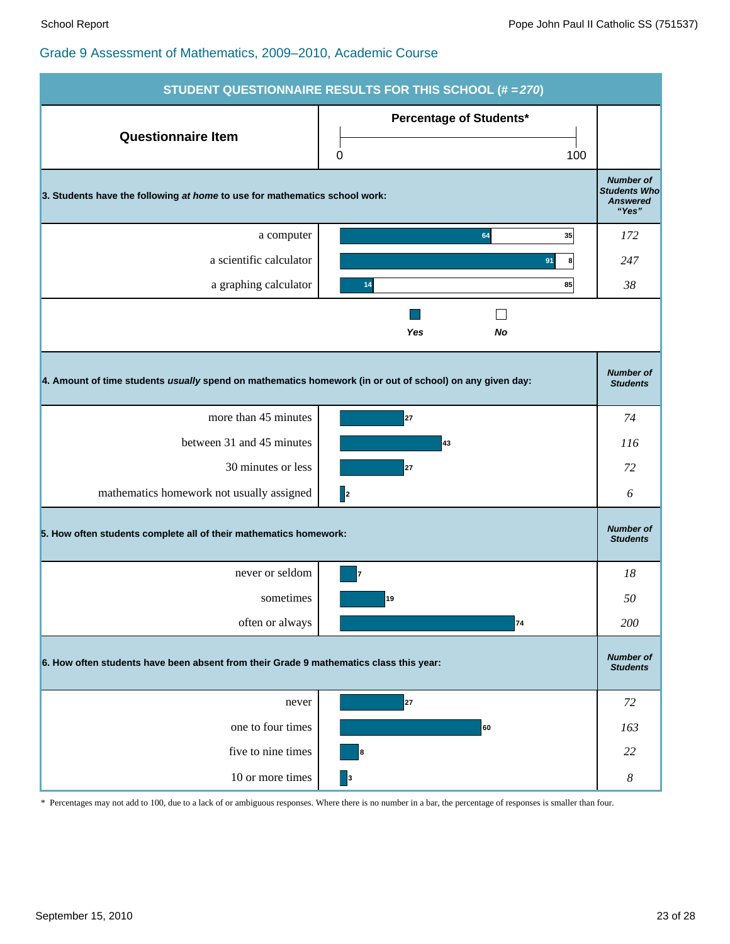| <b>STUDENT QUESTIONNAIRE RESULTS FOR THIS SCHOOL (# = 270)</b>                                           |                                            |                                                                     |  |  |  |  |
|----------------------------------------------------------------------------------------------------------|--------------------------------------------|---------------------------------------------------------------------|--|--|--|--|
| <b>Questionnaire Item</b>                                                                                | <b>Percentage of Students*</b><br>100<br>0 |                                                                     |  |  |  |  |
| 3. Students have the following at home to use for mathematics school work:                               |                                            | <b>Number of</b><br><b>Students Who</b><br><b>Answered</b><br>"Yes" |  |  |  |  |
| a computer                                                                                               | 64<br>35                                   | 172                                                                 |  |  |  |  |
| a scientific calculator                                                                                  | 91<br>8                                    | 247                                                                 |  |  |  |  |
| a graphing calculator                                                                                    | 85<br>14                                   | 38                                                                  |  |  |  |  |
|                                                                                                          | Yes<br>No                                  |                                                                     |  |  |  |  |
| 4. Amount of time students usually spend on mathematics homework (in or out of school) on any given day: |                                            | <b>Number of</b><br><b>Students</b>                                 |  |  |  |  |
| more than 45 minutes                                                                                     | 27                                         | 74                                                                  |  |  |  |  |
| between 31 and 45 minutes                                                                                | 43                                         | 116                                                                 |  |  |  |  |
| 30 minutes or less                                                                                       | 27                                         | 72                                                                  |  |  |  |  |
| mathematics homework not usually assigned                                                                | 2                                          | 6                                                                   |  |  |  |  |
| 5. How often students complete all of their mathematics homework:                                        |                                            | <b>Number of</b><br><b>Students</b>                                 |  |  |  |  |
| never or seldom                                                                                          | 7                                          | 18                                                                  |  |  |  |  |
| sometimes                                                                                                | 19                                         | 50                                                                  |  |  |  |  |
| often or always                                                                                          | 74                                         | 200                                                                 |  |  |  |  |
| 6. How often students have been absent from their Grade 9 mathematics class this year:                   |                                            |                                                                     |  |  |  |  |
| never                                                                                                    | 27                                         | 72                                                                  |  |  |  |  |
| one to four times                                                                                        | 60                                         | 163                                                                 |  |  |  |  |
| five to nine times                                                                                       | 8                                          | 22                                                                  |  |  |  |  |
| 10 or more times                                                                                         | $\vert$ <sub>3</sub>                       | $\boldsymbol{8}$                                                    |  |  |  |  |

\* Percentages may not add to 100, due to a lack of or ambiguous responses. Where there is no number in a bar, the percentage of responses is smaller than four.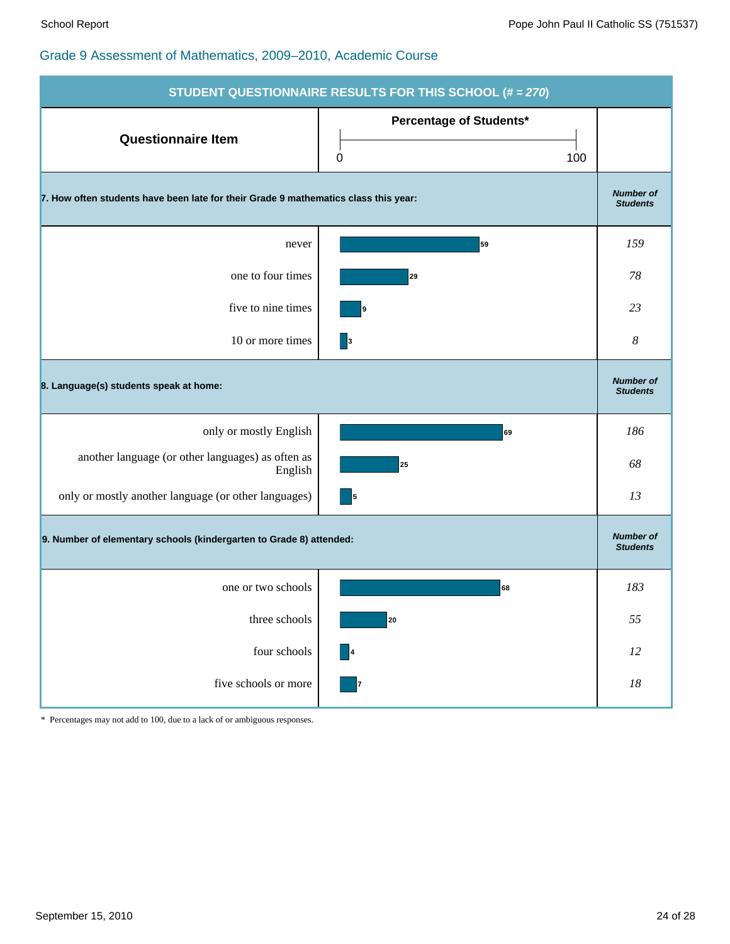|                                                                                     | STUDENT QUESTIONNAIRE RESULTS FOR THIS SCHOOL (# = 270) |                                     |  |  |  |  |
|-------------------------------------------------------------------------------------|---------------------------------------------------------|-------------------------------------|--|--|--|--|
| <b>Questionnaire Item</b>                                                           | Percentage of Students*<br>0<br>100                     |                                     |  |  |  |  |
| 7. How often students have been late for their Grade 9 mathematics class this year: |                                                         | <b>Number of</b><br><b>Students</b> |  |  |  |  |
| never                                                                               | 59                                                      | 159                                 |  |  |  |  |
| one to four times                                                                   | 29                                                      | 78                                  |  |  |  |  |
| five to nine times                                                                  | 19                                                      | 23                                  |  |  |  |  |
| 10 or more times                                                                    | 3                                                       | 8                                   |  |  |  |  |
| 8. Language(s) students speak at home:                                              |                                                         | <b>Number of</b><br><b>Students</b> |  |  |  |  |
| only or mostly English                                                              | 69                                                      | 186                                 |  |  |  |  |
| another language (or other languages) as often as<br>English                        | 25                                                      | 68                                  |  |  |  |  |
| only or mostly another language (or other languages)                                | 5                                                       | 13                                  |  |  |  |  |
| 9. Number of elementary schools (kindergarten to Grade 8) attended:                 |                                                         | <b>Number of</b><br><b>Students</b> |  |  |  |  |
| one or two schools                                                                  | 68                                                      | 183                                 |  |  |  |  |
| three schools                                                                       | 20                                                      | 55                                  |  |  |  |  |
| four schools                                                                        | $\blacksquare$                                          | $12\,$                              |  |  |  |  |
| five schools or more                                                                | 7                                                       | $18\,$                              |  |  |  |  |

\* Percentages may not add to 100, due to a lack of or ambiguous responses.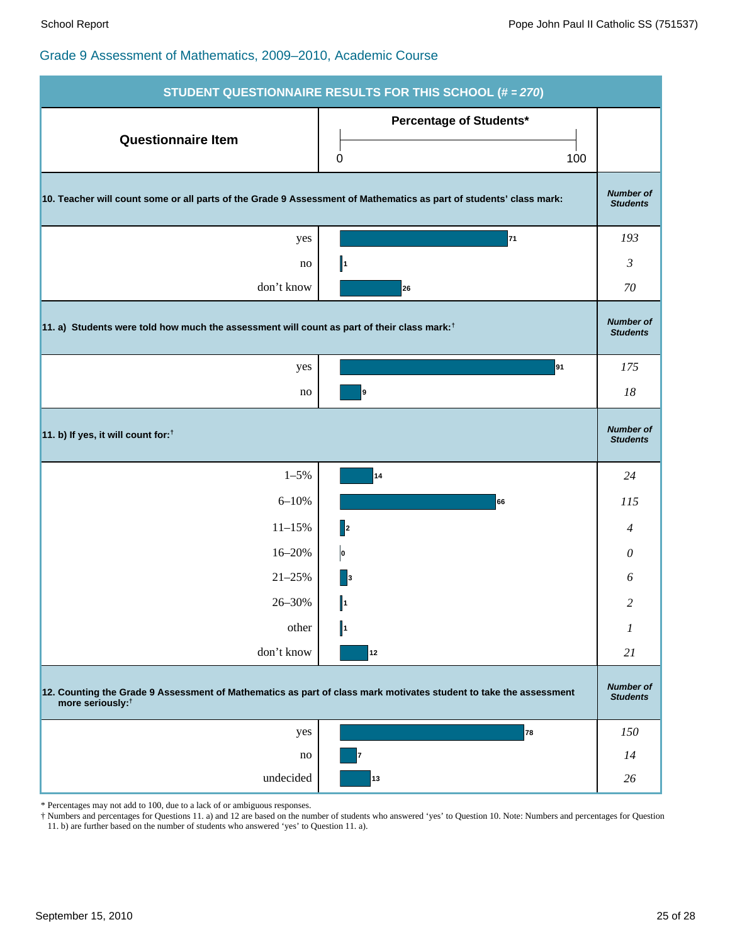|                                                                                                                                                   | STUDENT QUESTIONNAIRE RESULTS FOR THIS SCHOOL (# = 270) |                                     |  |  |  |  |
|---------------------------------------------------------------------------------------------------------------------------------------------------|---------------------------------------------------------|-------------------------------------|--|--|--|--|
| <b>Questionnaire Item</b>                                                                                                                         | Percentage of Students*<br>100<br>0                     |                                     |  |  |  |  |
| 10. Teacher will count some or all parts of the Grade 9 Assessment of Mathematics as part of students' class mark:                                |                                                         | <b>Number of</b><br><b>Students</b> |  |  |  |  |
| yes                                                                                                                                               | 71                                                      | 193                                 |  |  |  |  |
| no                                                                                                                                                | $\ $                                                    | $\mathfrak{Z}$                      |  |  |  |  |
| don't know                                                                                                                                        | 26                                                      | 70                                  |  |  |  |  |
| 11. a) Students were told how much the assessment will count as part of their class mark: <sup>†</sup>                                            |                                                         | <b>Number of</b><br><b>Students</b> |  |  |  |  |
| yes                                                                                                                                               | 91                                                      | 175                                 |  |  |  |  |
| no                                                                                                                                                | 9                                                       | 18                                  |  |  |  |  |
| 11. b) If yes, it will count for: <sup>†</sup>                                                                                                    |                                                         | <b>Number of</b><br><b>Students</b> |  |  |  |  |
| $1 - 5\%$                                                                                                                                         | 14                                                      | 24                                  |  |  |  |  |
| $6 - 10%$                                                                                                                                         | 66                                                      | 115                                 |  |  |  |  |
| $11 - 15%$                                                                                                                                        | $\mathbf{z}$                                            | 4                                   |  |  |  |  |
| 16-20%                                                                                                                                            | $\vert$ o                                               | $\boldsymbol{\mathit{0}}$           |  |  |  |  |
| $21 - 25%$                                                                                                                                        | $\vert$ <sub>3</sub>                                    | 6                                   |  |  |  |  |
| 26-30%                                                                                                                                            | $\Vert$ 1                                               | 2                                   |  |  |  |  |
| other                                                                                                                                             | $\Vert$                                                 | 1                                   |  |  |  |  |
| don't know                                                                                                                                        | 12                                                      | 21                                  |  |  |  |  |
| 12. Counting the Grade 9 Assessment of Mathematics as part of class mark motivates student to take the assessment<br>more seriously: <sup>†</sup> |                                                         |                                     |  |  |  |  |
| yes                                                                                                                                               | 78                                                      | 150                                 |  |  |  |  |
| no                                                                                                                                                |                                                         | 14                                  |  |  |  |  |
| undecided                                                                                                                                         | 13                                                      | 26                                  |  |  |  |  |

\* Percentages may not add to 100, due to a lack of or ambiguous responses.

† Numbers and percentages for Questions 11. a) and 12 are based on the number of students who answered 'yes' to Question 10. Note: Numbers and percentages for Question 11. b) are further based on the number of students who answered 'yes' to Question 11. a).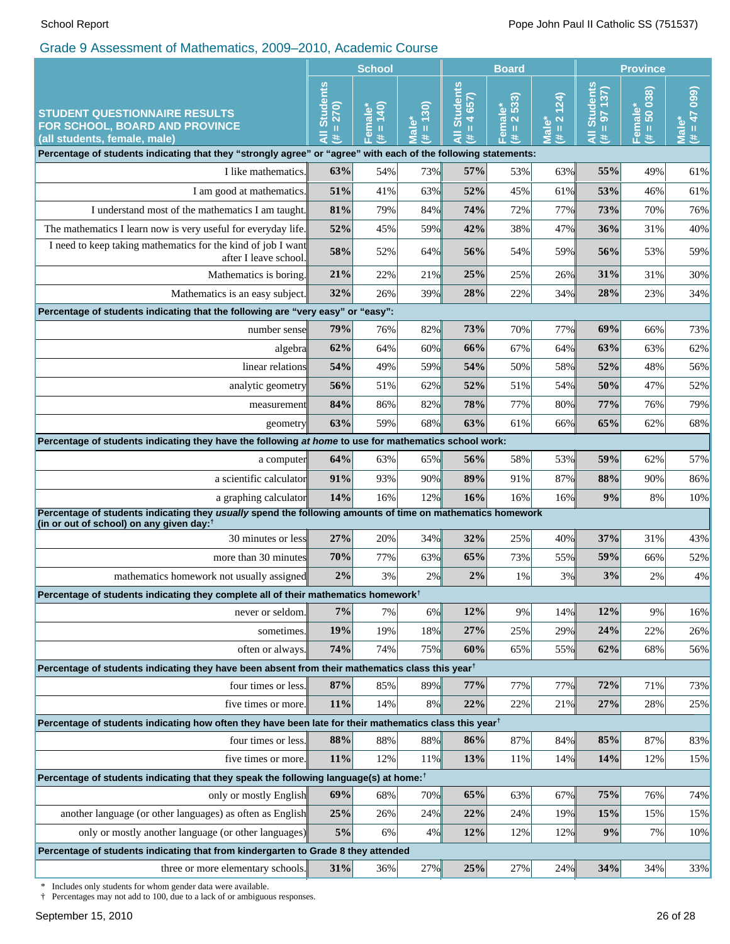|                                                                                                                                     | <b>School</b>                                      |                                            |                          | <b>Board</b>                                                                     |                                                                | <b>Province</b>                  |                                         |                         |                                |
|-------------------------------------------------------------------------------------------------------------------------------------|----------------------------------------------------|--------------------------------------------|--------------------------|----------------------------------------------------------------------------------|----------------------------------------------------------------|----------------------------------|-----------------------------------------|-------------------------|--------------------------------|
| <b>STUDENT QUESTIONNAIRE RESULTS</b><br>FOR SCHOOL, BOARD AND PROVINCE<br>(all students, female, male)                              | <b>Students</b><br>270)<br>$\mathsf{II}$<br>₹<br>共 | (0)<br>Female <sup>*</sup><br>$\,$ II<br>进 | (30)<br>Male'<br>$\,$ II | <b>Students</b><br>657)<br>$\overline{\textbf{A}}$<br>$\, \rm{II} \,$<br>हि<br>共 | 533)<br>៰៎<br>$\overline{\mathbf{N}}$<br>Femal<br>$\rm H$<br>共 | $# = 2 124$<br>Male <sup>*</sup> | <b>Students</b><br>$= 97 137$<br>Ę<br>共 | Female*<br>(# = 50 038) | $(660 Lp = #)$<br><b>Male*</b> |
| Percentage of students indicating that they "strongly agree" or "agree" with each of the following statements:                      |                                                    |                                            |                          |                                                                                  |                                                                |                                  |                                         |                         |                                |
| I like mathematics.                                                                                                                 | 63%                                                | 54%                                        | 73%                      | 57%                                                                              | 53%                                                            | 63%                              | 55%                                     | 49%                     | 61%                            |
| I am good at mathematics.                                                                                                           | 51%                                                | 41%                                        | 63%                      | 52%                                                                              | 45%                                                            | 61%                              | 53%                                     | 46%                     | 61%                            |
| I understand most of the mathematics I am taught.                                                                                   | 81%                                                | 79%                                        | 84%                      | 74%                                                                              | 72%                                                            | 77%                              | 73%                                     | 70%                     | 76%                            |
| The mathematics I learn now is very useful for everyday life.                                                                       | 52%                                                | 45%                                        | 59%                      | 42%                                                                              | 38%                                                            | 47%                              | 36%                                     | 31%                     | 40%                            |
| I need to keep taking mathematics for the kind of job I want<br>after I leave school.                                               | 58%                                                | 52%                                        | 64%                      | 56%                                                                              | 54%                                                            | 59%                              | 56%                                     | 53%                     | 59%                            |
| Mathematics is boring.                                                                                                              | 21%                                                | 22%                                        | 21%                      | 25%                                                                              | 25%                                                            | 26%                              | 31%                                     | 31%                     | 30%                            |
| Mathematics is an easy subject.                                                                                                     | 32%                                                | 26%                                        | 39%                      | 28%                                                                              | 22%                                                            | 34%                              | 28%                                     | 23%                     | 34%                            |
| Percentage of students indicating that the following are "very easy" or "easy":                                                     |                                                    |                                            |                          |                                                                                  |                                                                |                                  |                                         |                         |                                |
| number sense                                                                                                                        | 79%                                                | 76%                                        | 82%                      | 73%                                                                              | 70%                                                            | 77%                              | 69%                                     | 66%                     | 73%                            |
| algebra                                                                                                                             | 62%                                                | 64%                                        | 60%                      | 66%                                                                              | 67%                                                            | 64%                              | 63%                                     | 63%                     | 62%                            |
| linear relations                                                                                                                    | 54%                                                | 49%                                        | 59%                      | 54%                                                                              | 50%                                                            | 58%                              | 52%                                     | 48%                     | 56%                            |
| analytic geometry                                                                                                                   | 56%                                                | 51%                                        | 62%                      | 52%                                                                              | 51%                                                            | 54%                              | 50%                                     | 47%                     | 52%                            |
| measurement                                                                                                                         | 84%                                                | 86%                                        | 82%                      | 78%                                                                              | 77%                                                            | 80%                              | 77%                                     | 76%                     | 79%                            |
| geometry                                                                                                                            | 63%                                                | 59%                                        | 68%                      | 63%                                                                              | 61%                                                            | 66%                              | 65%                                     | 62%                     | 68%                            |
| Percentage of students indicating they have the following at home to use for mathematics school work:                               |                                                    |                                            |                          |                                                                                  |                                                                |                                  |                                         |                         |                                |
| a computer                                                                                                                          | 64%                                                | 63%                                        | 65%                      | 56%                                                                              | 58%                                                            | 53%                              | 59%                                     | 62%                     | 57%                            |
| a scientific calculator                                                                                                             | 91%                                                | 93%                                        | 90%                      | 89%<br>16%                                                                       | 91%                                                            | 87%                              | 88%<br>9%                               | 90%                     | 86%                            |
| a graphing calculator<br>Percentage of students indicating they usually spend the following amounts of time on mathematics homework | 14%                                                | 16%                                        | 12%                      |                                                                                  | 16%                                                            | 16%                              |                                         | 8%                      | 10%                            |
| (in or out of school) on any given day: <sup>†</sup>                                                                                |                                                    |                                            |                          |                                                                                  |                                                                |                                  |                                         |                         |                                |
| 30 minutes or less                                                                                                                  | 27%                                                | 20%                                        | 34%                      | 32%                                                                              | 25%                                                            | 40%                              | 37%                                     | 31%                     | 43%                            |
| more than 30 minutes                                                                                                                | 70%                                                | 77%                                        | 63%                      | 65%                                                                              | 73%                                                            | 55%                              | 59%                                     | 66%                     | 52%                            |
| mathematics homework not usually assigned                                                                                           | 2%                                                 | 3%                                         | 2%                       | 2%                                                                               | 1%                                                             | 3%                               | 3%                                      | 2%                      | 4%                             |
| Percentage of students indicating they complete all of their mathematics homework <sup>†</sup>                                      |                                                    |                                            |                          | 12%                                                                              |                                                                | 14%                              | 12%                                     | 9%                      |                                |
| never or seldom.                                                                                                                    | 7%                                                 | 7%<br>19%                                  | 6%                       | 27%                                                                              | 9%<br>25%                                                      | 29%                              | 24%                                     |                         | 16%                            |
| sometimes.<br>often or always.                                                                                                      | 19%<br>74%                                         | 74%                                        | 18%<br>75%               | 60%                                                                              | 65%                                                            | 55%                              | 62%                                     | 22%<br>68%              | 26%<br>56%                     |
| Percentage of students indicating they have been absent from their mathematics class this year <sup>†</sup>                         |                                                    |                                            |                          |                                                                                  |                                                                |                                  |                                         |                         |                                |
| four times or less.                                                                                                                 | 87%                                                | 85%                                        | 89%                      | 77%                                                                              | 77%                                                            | 77%                              | 72%                                     | 71%                     | 73%                            |
| five times or more.                                                                                                                 | 11%                                                | 14%                                        | 8%                       | 22%                                                                              | 22%                                                            | 21%                              | 27%                                     | 28%                     | 25%                            |
| Percentage of students indicating how often they have been late for their mathematics class this year <sup>†</sup>                  |                                                    |                                            |                          |                                                                                  |                                                                |                                  |                                         |                         |                                |
| four times or less.                                                                                                                 | 88%                                                | 88%                                        | 88%                      | 86%                                                                              | 87%                                                            | 84%                              | 85%                                     | 87%                     | 83%                            |
| five times or more.                                                                                                                 | 11%                                                | 12%                                        | 11%                      | 13%                                                                              | 11%                                                            | 14%                              | 14%                                     | 12%                     | 15%                            |
| Percentage of students indicating that they speak the following language(s) at home: <sup>†</sup>                                   |                                                    |                                            |                          |                                                                                  |                                                                |                                  |                                         |                         |                                |
| only or mostly English                                                                                                              | 69%                                                | 68%                                        | 70%                      | 65%                                                                              | 63%                                                            | 67%                              | 75%                                     | 76%                     | 74%                            |
| another language (or other languages) as often as English                                                                           | 25%                                                | 26%                                        | 24%                      | 22%                                                                              | 24%                                                            | 19%                              | 15%                                     | 15%                     | 15%                            |
| only or mostly another language (or other languages)                                                                                | 5%                                                 | 6%                                         | 4%                       | 12%                                                                              | 12%                                                            | 12%                              | 9%                                      | 7%                      | $10\%$                         |
| Percentage of students indicating that from kindergarten to Grade 8 they attended                                                   |                                                    |                                            |                          |                                                                                  |                                                                |                                  |                                         |                         |                                |
| three or more elementary schools.                                                                                                   | 31%                                                | 36%                                        | 27%                      | 25%                                                                              | 27%                                                            | 24%                              | 34%                                     | 34%                     | 33%                            |

\* Includes only students for whom gender data were available.

† Percentages may not add to 100, due to a lack of or ambiguous responses.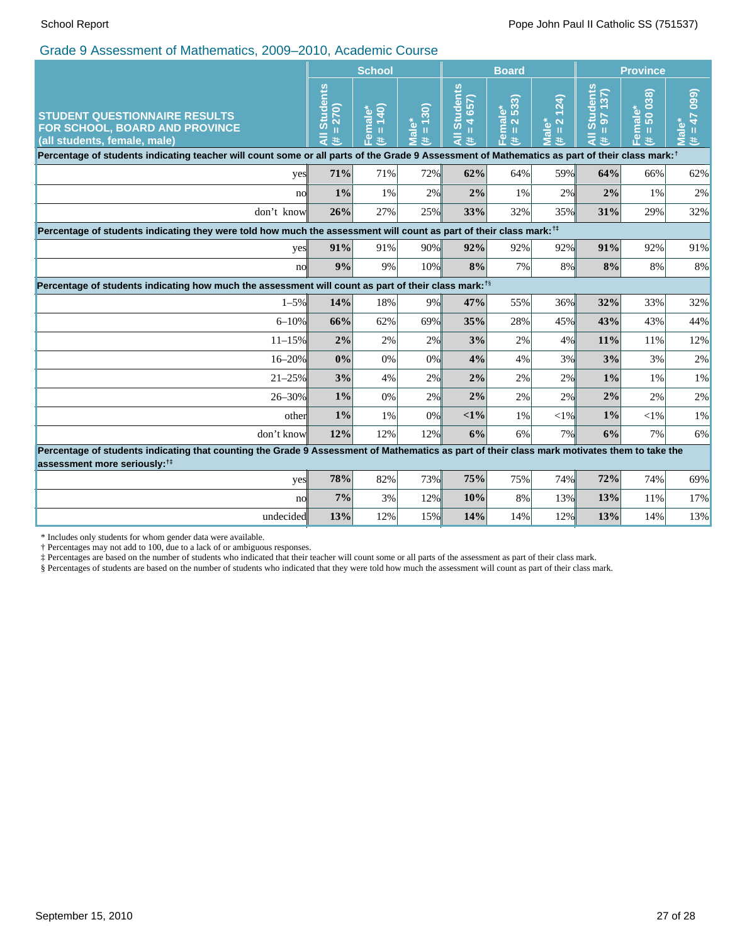|                                                                                                                                                                                          | <b>School</b>                                  |                                |                               |                                                                   | <b>Board</b>                                                                                              |                                                                    | <b>Province</b>                              |                                                     |                               |
|------------------------------------------------------------------------------------------------------------------------------------------------------------------------------------------|------------------------------------------------|--------------------------------|-------------------------------|-------------------------------------------------------------------|-----------------------------------------------------------------------------------------------------------|--------------------------------------------------------------------|----------------------------------------------|-----------------------------------------------------|-------------------------------|
| <b>STUDENT QUESTIONNAIRE RESULTS</b><br>FOR SCHOOL, BOARD AND PROVINCE<br>(all students, female, male)                                                                                   | <b>Students</b><br>270)<br>Ш<br>$\bar{a}$<br>共 | 140)<br>ÔΟ<br>Female<br>Ш<br>共 | 130)<br>$rac{1}{a}$<br>Ш<br>共 | <b>Students</b><br>657)<br>$\overline{\mathbf{r}}$<br>Ш<br>₹<br>共 | 533)<br>ోల<br>$\overline{\overline{\sigma}}$<br>$\mathbf{\Omega}$<br>ε<br>Ш<br>$\overline{a}$<br>巷<br>LĒ. | (124)<br>$\overline{\mathbf{N}}$<br><b>Male*</b><br>$\rm{II}$<br>进 | <b>Students</b><br>137)<br>56<br>т<br>Ę<br>进 | 038)<br>Female*<br>$50^{\circ}$<br>$\mathbf H$<br>美 | (660)<br>47<br>Male<br>Ш<br>美 |
| Percentage of students indicating teacher will count some or all parts of the Grade 9 Assessment of Mathematics as part of their class mark: <sup>†</sup>                                |                                                |                                |                               |                                                                   |                                                                                                           |                                                                    |                                              |                                                     |                               |
| yes                                                                                                                                                                                      | 71%                                            | 71%                            | 72%                           | 62%                                                               | 64%                                                                                                       | 59%                                                                | 64%                                          | 66%                                                 | 62%                           |
| nol                                                                                                                                                                                      | $1\%$                                          | 1%                             | 2%                            | 2%                                                                | 1%                                                                                                        | 2%                                                                 | 2%                                           | 1%                                                  | $2\%$                         |
| don't know                                                                                                                                                                               | 26%                                            | 27%                            | 25%                           | 33%                                                               | 32%                                                                                                       | 35%                                                                | 31%                                          | 29%                                                 | 32%                           |
| Percentage of students indicating they were told how much the assessment will count as part of their class mark: <sup>11</sup>                                                           |                                                |                                |                               |                                                                   |                                                                                                           |                                                                    |                                              |                                                     |                               |
| yes                                                                                                                                                                                      | 91%                                            | 91%                            | 90%                           | 92%                                                               | 92%                                                                                                       | 92%                                                                | 91%                                          | 92%                                                 | 91%                           |
| no                                                                                                                                                                                       | 9%                                             | 9%                             | 10%                           | 8%                                                                | 7%                                                                                                        | 8%                                                                 | 8%                                           | 8%                                                  | 8%                            |
| Percentage of students indicating how much the assessment will count as part of their class mark: <sup>18</sup>                                                                          |                                                |                                |                               |                                                                   |                                                                                                           |                                                                    |                                              |                                                     |                               |
| $1 - 5\%$                                                                                                                                                                                | 14%                                            | 18%                            | 9%                            | 47%                                                               | 55%                                                                                                       | 36%                                                                | 32%                                          | 33%                                                 | 32%                           |
| $6 - 10%$                                                                                                                                                                                | 66%                                            | 62%                            | 69%                           | 35%                                                               | 28%                                                                                                       | 45%                                                                | 43%                                          | 43%                                                 | 44%                           |
| $11 - 15%$                                                                                                                                                                               | 2%                                             | 2%                             | 2%                            | 3%                                                                | 2%                                                                                                        | 4%                                                                 | 11%                                          | 11%                                                 | 12%                           |
| $16 - 20%$                                                                                                                                                                               | 0%                                             | 0%                             | 0%                            | 4%                                                                | 4%                                                                                                        | 3%                                                                 | 3%                                           | 3%                                                  | 2%                            |
| $21 - 25%$                                                                                                                                                                               | 3%                                             | 4%                             | 2%                            | 2%                                                                | 2%                                                                                                        | 2%                                                                 | 1%                                           | $1\%$                                               | 1%                            |
| 26-30%                                                                                                                                                                                   | $1\%$                                          | 0%                             | 2%                            | 2%                                                                | 2%                                                                                                        | 2%                                                                 | 2%                                           | 2%                                                  | 2%                            |
| other                                                                                                                                                                                    | $1\%$                                          | 1%                             | 0%                            | $<1\%$                                                            | 1%                                                                                                        | $<$ 1%                                                             | $1\%$                                        | $< 1\%$                                             | 1%                            |
| don't know                                                                                                                                                                               | 12%                                            | 12%                            | 12%                           | 6%                                                                | 6%                                                                                                        | 7%                                                                 | 6%                                           | 7%                                                  | 6%                            |
| Percentage of students indicating that counting the Grade 9 Assessment of Mathematics as part of their class mark motivates them to take the<br>assessment more seriously: <sup>1‡</sup> |                                                |                                |                               |                                                                   |                                                                                                           |                                                                    |                                              |                                                     |                               |
| yes                                                                                                                                                                                      | 78%                                            | 82%                            | 73%                           | 75%                                                               | 75%                                                                                                       | 74%                                                                | 72%                                          | 74%                                                 | 69%                           |
| no                                                                                                                                                                                       | 7%                                             | 3%                             | 12%                           | 10%                                                               | 8%                                                                                                        | 13%                                                                | 13%                                          | 11%                                                 | 17%                           |
| undecided                                                                                                                                                                                | 13%                                            | 12%                            | 15%                           | 14%                                                               | 14%                                                                                                       | 12%                                                                | 13%                                          | 14%                                                 | 13%                           |
|                                                                                                                                                                                          |                                                |                                |                               |                                                                   |                                                                                                           |                                                                    |                                              |                                                     |                               |

\* Includes only students for whom gender data were available.

† Percentages may not add to 100, due to a lack of or ambiguous responses.

‡ Percentages are based on the number of students who indicated that their teacher will count some or all parts of the assessment as part of their class mark.

§ Percentages of students are based on the number of students who indicated that they were told how much the assessment will count as part of their class mark.